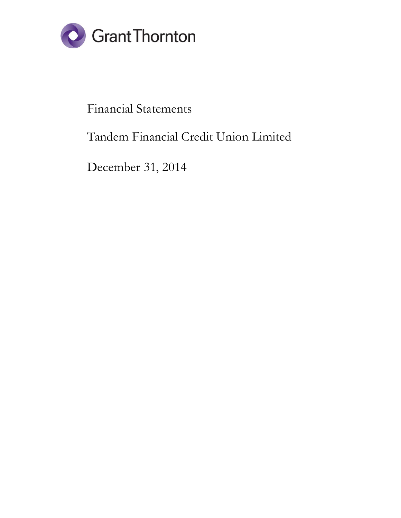

# Financial Statements

# Tandem Financial Credit Union Limited

December 31, 2014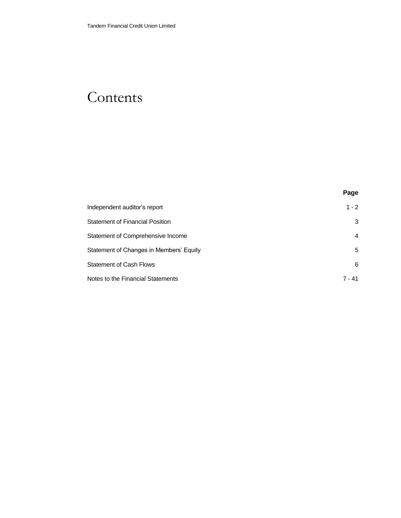# **Contents**

|                                         | Page           |
|-----------------------------------------|----------------|
| Independent auditor's report            | $1 - 2$        |
| <b>Statement of Financial Position</b>  | 3              |
| Statement of Comprehensive Income       | $\overline{4}$ |
| Statement of Changes in Members' Equity | 5              |
| <b>Statement of Cash Flows</b>          | 6              |
| Notes to the Financial Statements       | 7 - 41         |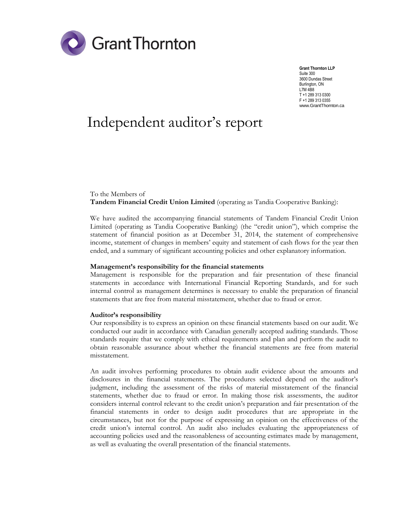

**Grant Thornton LLP** Suite 300 3600 Dundas Street Burlington, ON L7M 4B8 T +1 289 313 0300 F +1 289 313 0355 www.GrantThornton.ca

# Independent auditor's report

### To the Members of **Tandem Financial Credit Union Limited** (operating as Tandia Cooperative Banking):

We have audited the accompanying financial statements of Tandem Financial Credit Union Limited (operating as Tandia Cooperative Banking) (the "credit union"), which comprise the statement of financial position as at December 31, 2014, the statement of comprehensive income, statement of changes in members' equity and statement of cash flows for the year then ended, and a summary of significant accounting policies and other explanatory information.

### **Management's responsibility for the financial statements**

Management is responsible for the preparation and fair presentation of these financial statements in accordance with International Financial Reporting Standards, and for such internal control as management determines is necessary to enable the preparation of financial statements that are free from material misstatement, whether due to fraud or error.

#### **Auditor's responsibility**

Our responsibility is to express an opinion on these financial statements based on our audit. We conducted our audit in accordance with Canadian generally accepted auditing standards. Those standards require that we comply with ethical requirements and plan and perform the audit to obtain reasonable assurance about whether the financial statements are free from material misstatement.

An audit involves performing procedures to obtain audit evidence about the amounts and disclosures in the financial statements. The procedures selected depend on the auditor's judgment, including the assessment of the risks of material misstatement of the financial statements, whether due to fraud or error. In making those risk assessments, the auditor considers internal control relevant to the credit union's preparation and fair presentation of the financial statements in order to design audit procedures that are appropriate in the circumstances, but not for the purpose of expressing an opinion on the effectiveness of the credit union's internal control. An audit also includes evaluating the appropriateness of accounting policies used and the reasonableness of accounting estimates made by management, as well as evaluating the overall presentation of the financial statements.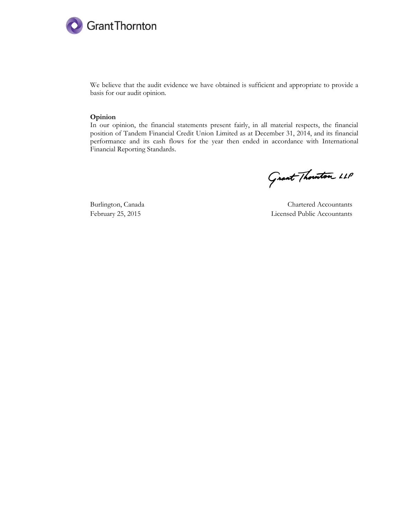

We believe that the audit evidence we have obtained is sufficient and appropriate to provide a basis for our audit opinion.

#### **Opinion**

In our opinion, the financial statements present fairly, in all material respects, the financial position of Tandem Financial Credit Union Limited as at December 31, 2014, and its financial performance and its cash flows for the year then ended in accordance with International Financial Reporting Standards.

Grant Thouston LLP

Burlington, Canada Chartered Accountants February 25, 2015 Licensed Public Accountants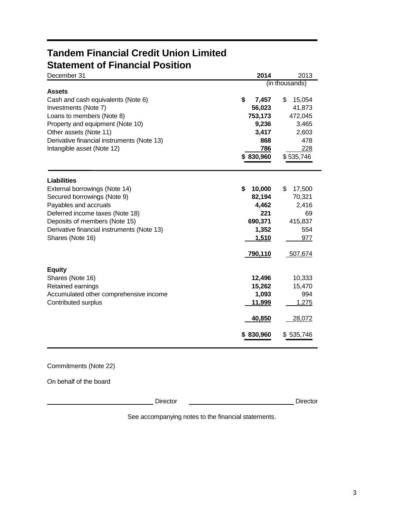# **Tandem Financial Credit Union Limited Statement of Financial Position**

| December 31                                                                 | 2014                  | 2013                   |
|-----------------------------------------------------------------------------|-----------------------|------------------------|
|                                                                             |                       | (in thousands)         |
| <b>Assets</b><br>Cash and cash equivalents (Note 6)<br>Investments (Note 7) | \$<br>7,457<br>56,023 | \$<br>15,054<br>41,873 |
| Loans to members (Note 8)                                                   | 753,173               | 472,045                |
| Property and equipment (Note 10)                                            | 9,236                 | 3,465                  |
| Other assets (Note 11)                                                      | 3,417                 | 2,603                  |
| Derivative financial instruments (Note 13)                                  | 868<br>786            | 478                    |
| Intangible asset (Note 12)                                                  | \$830,960             | 228<br>\$535,746       |
| <b>Liabilities</b>                                                          |                       |                        |
| External borrowings (Note 14)                                               | \$<br>10,000          | \$<br>17,500           |
| Secured borrowings (Note 9)                                                 | 82,194                | 70,321                 |
| Payables and accruals                                                       | 4,462                 | 2,416                  |
| Deferred income taxes (Note 18)                                             | 221                   | 69                     |
| Deposits of members (Note 15)                                               | 690,371               | 415,837                |
| Derivative financial instruments (Note 13)                                  | 1,352                 | 554                    |
| Shares (Note 16)                                                            | 1,510                 | 977                    |
|                                                                             | <u>790,110</u>        | 507,674                |
| <b>Equity</b>                                                               |                       |                        |
| Shares (Note 16)                                                            | 12,496                | 10,333                 |
| Retained earnings                                                           | 15,262                | 15,470                 |
| Accumulated other comprehensive income                                      | 1,093                 | 994                    |
| Contributed surplus                                                         | <u>11,999</u>         | 1,275                  |
|                                                                             | 40,850                | 28,072                 |
|                                                                             | \$830,960             | \$535,746              |
|                                                                             |                       |                        |

# Commitments (Note 22)

On behalf of the board

Director **Director** Director

See accompanying notes to the financial statements.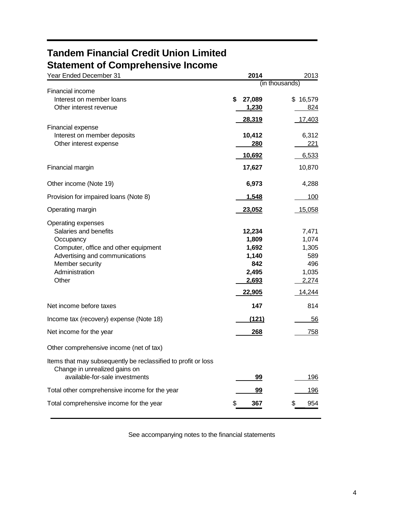# **Tandem Financial Credit Union Limited Statement of Comprehensive Income**

| awnont of complements to<br>Year Ended December 31                                             | 2014           | 2013     |  |  |
|------------------------------------------------------------------------------------------------|----------------|----------|--|--|
|                                                                                                | (in thousands) |          |  |  |
| Financial income                                                                               |                |          |  |  |
| Interest on member loans<br>Other interest revenue                                             | 27,089<br>\$   | \$16,579 |  |  |
|                                                                                                | 1,230          | 824      |  |  |
|                                                                                                | 28,319         | 17,403   |  |  |
| Financial expense<br>Interest on member deposits                                               | 10,412         | 6,312    |  |  |
| Other interest expense                                                                         | 280            | 221      |  |  |
|                                                                                                |                |          |  |  |
|                                                                                                | 10,692         | 6,533    |  |  |
| Financial margin                                                                               | 17,627         | 10,870   |  |  |
| Other income (Note 19)                                                                         | 6,973          | 4,288    |  |  |
| Provision for impaired loans (Note 8)                                                          | 1,548          | 100      |  |  |
| Operating margin                                                                               | 23,052         | 15,058   |  |  |
| Operating expenses                                                                             |                |          |  |  |
| Salaries and benefits                                                                          | 12,234         | 7,471    |  |  |
| Occupancy                                                                                      | 1,809          | 1,074    |  |  |
| Computer, office and other equipment                                                           | 1,692          | 1,305    |  |  |
| Advertising and communications                                                                 | 1,140          | 589      |  |  |
| Member security                                                                                | 842            | 496      |  |  |
| Administration<br>Other                                                                        | 2,495          | 1,035    |  |  |
|                                                                                                | <u>2,693</u>   | 2,274    |  |  |
|                                                                                                | 22,905         | 14,244   |  |  |
| Net income before taxes                                                                        | 147            | 814      |  |  |
| Income tax (recovery) expense (Note 18)                                                        | <u>(121)</u>   | 56       |  |  |
| Net income for the year                                                                        | 268            | 758      |  |  |
| Other comprehensive income (net of tax)                                                        |                |          |  |  |
| Items that may subsequently be reclassified to profit or loss<br>Change in unrealized gains on |                |          |  |  |
| available-for-sale investments                                                                 | 99             | 196      |  |  |
| Total other comprehensive income for the year                                                  | <u>99</u>      | 196      |  |  |
| Total comprehensive income for the year                                                        | 367<br>S       | 954      |  |  |

See accompanying notes to the financial statements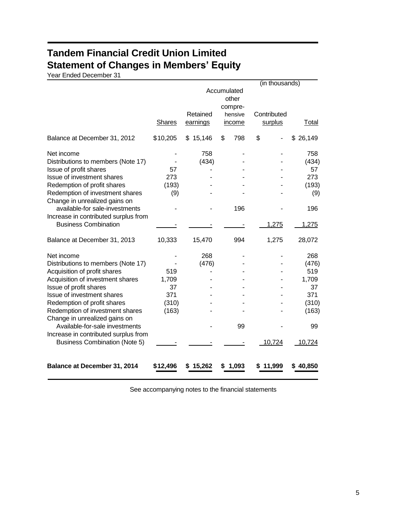# **Tandem Financial Credit Union Limited Statement of Changes in Members' Equity**

Year Ended December 31

|                                      |               |             |           | $(n$ thousands) |          |
|--------------------------------------|---------------|-------------|-----------|-----------------|----------|
|                                      |               | Accumulated |           |                 |          |
|                                      |               |             |           |                 |          |
|                                      |               |             | compre-   |                 |          |
|                                      |               | Retained    | hensive   | Contributed     |          |
|                                      | <b>Shares</b> | earnings    | income    | surplus         | Total    |
|                                      |               |             |           |                 |          |
| Balance at December 31, 2012         | \$10,205      | \$15,146    | \$<br>798 | \$              | \$26,149 |
| Net income                           |               | 758         |           |                 | 758      |
| Distributions to members (Note 17)   |               | (434)       |           |                 | (434)    |
| Issue of profit shares               | 57            |             |           |                 | 57       |
| Issue of investment shares           | 273           |             |           |                 | 273      |
| Redemption of profit shares          | (193)         |             |           |                 | (193)    |
| Redemption of investment shares      | (9)           |             |           |                 | (9)      |
| Change in unrealized gains on        |               |             |           |                 |          |
| available-for sale-investments       |               |             | 196       |                 | 196      |
| Increase in contributed surplus from |               |             |           |                 |          |
| <b>Business Combination</b>          |               |             |           | 1,275           | 1,275    |
| Balance at December 31, 2013         | 10,333        | 15,470      | 994       | 1,275           | 28,072   |
|                                      |               |             |           |                 |          |
| Net income                           |               | 268         |           |                 | 268      |
| Distributions to members (Note 17)   |               | (476)       |           |                 | (476)    |
| Acquisition of profit shares         | 519           |             |           |                 | 519      |
| Acquisition of investment shares     | 1,709         |             |           |                 | 1,709    |
| Issue of profit shares               | 37            |             |           |                 | 37       |
| Issue of investment shares           | 371           |             |           |                 | 371      |
| Redemption of profit shares          | (310)         |             |           |                 | (310)    |
| Redemption of investment shares      | (163)         |             |           |                 | (163)    |
| Change in unrealized gains on        |               |             |           |                 |          |
| Available-for-sale investments       |               |             | 99        |                 | 99       |
| Increase in contributed surplus from |               |             |           |                 |          |
| <b>Business Combination (Note 5)</b> |               |             |           | 10,724          | 10,724   |
| Balance at December 31, 2014         | \$12,496      | \$15,262    | \$1,093   | 11,999          | \$40,850 |

See accompanying notes to the financial statements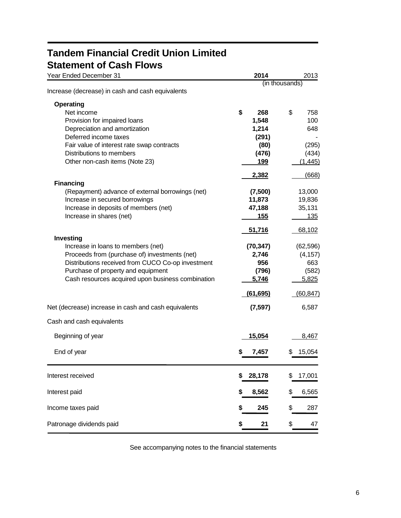# **Tandem Financial Credit Union Limited Statement of Cash Flows**

| Year Ended December 31                               | 2014          | 2013           |
|------------------------------------------------------|---------------|----------------|
|                                                      |               | (in thousands) |
| Increase (decrease) in cash and cash equivalents     |               |                |
| <b>Operating</b>                                     |               |                |
| Net income                                           | \$<br>268     | \$<br>758      |
| Provision for impaired loans                         | 1,548         | 100            |
| Depreciation and amortization                        | 1,214         | 648            |
| Deferred income taxes                                | (291)         |                |
| Fair value of interest rate swap contracts           | (80)          | (295)          |
| Distributions to members                             | (476)         | (434)          |
| Other non-cash items (Note 23)                       | 199           | (1, 445)       |
|                                                      | 2,382         | (668)          |
| <b>Financing</b>                                     |               |                |
| (Repayment) advance of external borrowings (net)     | (7,500)       | 13,000         |
| Increase in secured borrowings                       | 11,873        | 19,836         |
| Increase in deposits of members (net)                | 47,188        | 35,131         |
| Increase in shares (net)                             | 155           | 135            |
|                                                      | 51,716        | 68,102         |
| Investing                                            |               |                |
| Increase in loans to members (net)                   | (70, 347)     | (62, 596)      |
| Proceeds from (purchase of) investments (net)        | 2,746         | (4, 157)       |
| Distributions received from CUCO Co-op investment    | 956           | 663            |
| Purchase of property and equipment                   | (796)         | (582)          |
| Cash resources acquired upon business combination    | 5,746         | 5,825          |
|                                                      |               |                |
|                                                      | (61,695)      | (60, 847)      |
| Net (decrease) increase in cash and cash equivalents | (7, 597)      | 6,587          |
| Cash and cash equivalents                            |               |                |
| Beginning of year                                    | <u>15,054</u> | 8,467          |
|                                                      |               |                |
| End of year                                          | 7,457<br>S    | 15,054         |
| Interest received                                    | 28,178        | 17,001         |
|                                                      |               |                |
| Interest paid                                        | 8,562<br>5    | 6,565<br>\$    |
| Income taxes paid                                    | 245<br>S      | 287<br>\$      |
| Patronage dividends paid                             | 21<br>5       | \$<br>47       |
|                                                      |               |                |

See accompanying notes to the financial statements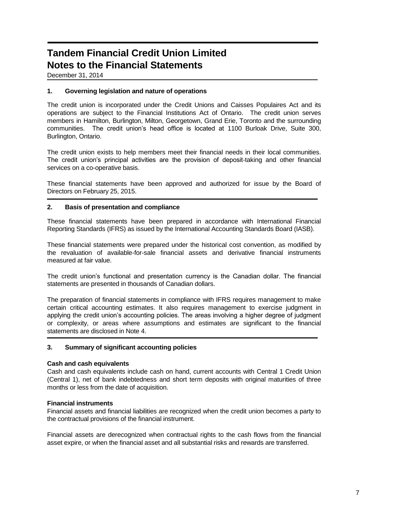December 31, 2014

### **1. Governing legislation and nature of operations**

The credit union is incorporated under the Credit Unions and Caisses Populaires Act and its operations are subject to the Financial Institutions Act of Ontario. The credit union serves members in Hamilton, Burlington, Milton, Georgetown, Grand Erie, Toronto and the surrounding communities. The credit union's head office is located at 1100 Burloak Drive, Suite 300, Burlington, Ontario.

The credit union exists to help members meet their financial needs in their local communities. The credit union's principal activities are the provision of deposit-taking and other financial services on a co-operative basis.

These financial statements have been approved and authorized for issue by the Board of Directors on February 25, 2015.

### **2. Basis of presentation and compliance**

These financial statements have been prepared in accordance with International Financial Reporting Standards (IFRS) as issued by the International Accounting Standards Board (IASB).

These financial statements were prepared under the historical cost convention, as modified by the revaluation of available-for-sale financial assets and derivative financial instruments measured at fair value.

The credit union's functional and presentation currency is the Canadian dollar. The financial statements are presented in thousands of Canadian dollars.

The preparation of financial statements in compliance with IFRS requires management to make certain critical accounting estimates. It also requires management to exercise judgment in applying the credit union's accounting policies. The areas involving a higher degree of judgment or complexity, or areas where assumptions and estimates are significant to the financial statements are disclosed in Note 4.

### **3. Summary of significant accounting policies**

### **Cash and cash equivalents**

Cash and cash equivalents include cash on hand, current accounts with Central 1 Credit Union (Central 1), net of bank indebtedness and short term deposits with original maturities of three months or less from the date of acquisition.

## **Financial instruments**

Financial assets and financial liabilities are recognized when the credit union becomes a party to the contractual provisions of the financial instrument.

Financial assets are derecognized when contractual rights to the cash flows from the financial asset expire, or when the financial asset and all substantial risks and rewards are transferred.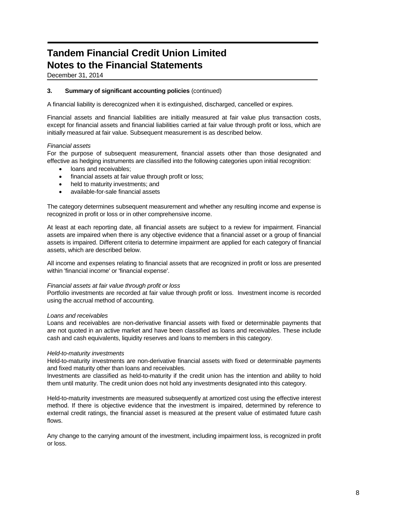December 31, 2014

### **3. Summary of significant accounting policies** (continued)

A financial liability is derecognized when it is extinguished, discharged, cancelled or expires.

Financial assets and financial liabilities are initially measured at fair value plus transaction costs, except for financial assets and financial liabilities carried at fair value through profit or loss, which are initially measured at fair value. Subsequent measurement is as described below.

#### *Financial assets*

For the purpose of subsequent measurement, financial assets other than those designated and effective as hedging instruments are classified into the following categories upon initial recognition:

- loans and receivables;
- financial assets at fair value through profit or loss;
- held to maturity investments; and
- available-for-sale financial assets

The category determines subsequent measurement and whether any resulting income and expense is recognized in profit or loss or in other comprehensive income.

At least at each reporting date, all financial assets are subject to a review for impairment. Financial assets are impaired when there is any objective evidence that a financial asset or a group of financial assets is impaired. Different criteria to determine impairment are applied for each category of financial assets, which are described below.

All income and expenses relating to financial assets that are recognized in profit or loss are presented within 'financial income' or 'financial expense'.

#### *Financial assets at fair value through profit or loss*

Portfolio investments are recorded at fair value through profit or loss. Investment income is recorded using the accrual method of accounting.

#### *Loans and receivables*

Loans and receivables are non-derivative financial assets with fixed or determinable payments that are not quoted in an active market and have been classified as loans and receivables. These include cash and cash equivalents, liquidity reserves and loans to members in this category.

#### *Held-to-maturity investments*

Held-to-maturity investments are non-derivative financial assets with fixed or determinable payments and fixed maturity other than loans and receivables.

Investments are classified as held-to-maturity if the credit union has the intention and ability to hold them until maturity. The credit union does not hold any investments designated into this category.

Held-to-maturity investments are measured subsequently at amortized cost using the effective interest method. If there is objective evidence that the investment is impaired, determined by reference to external credit ratings, the financial asset is measured at the present value of estimated future cash flows.

Any change to the carrying amount of the investment, including impairment loss, is recognized in profit or loss.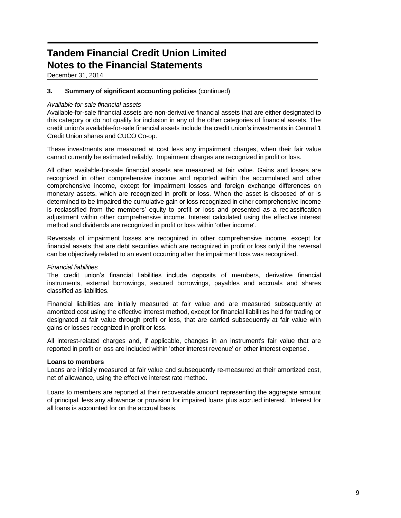December 31, 2014

### **3. Summary of significant accounting policies** (continued)

### *Available-for-sale financial assets*

Available-for-sale financial assets are non-derivative financial assets that are either designated to this category or do not qualify for inclusion in any of the other categories of financial assets. The credit union's available-for-sale financial assets include the credit union's investments in Central 1 Credit Union shares and CUCO Co-op.

These investments are measured at cost less any impairment charges, when their fair value cannot currently be estimated reliably. Impairment charges are recognized in profit or loss.

All other available-for-sale financial assets are measured at fair value. Gains and losses are recognized in other comprehensive income and reported within the accumulated and other comprehensive income, except for impairment losses and foreign exchange differences on monetary assets, which are recognized in profit or loss. When the asset is disposed of or is determined to be impaired the cumulative gain or loss recognized in other comprehensive income is reclassified from the members' equity to profit or loss and presented as a reclassification adjustment within other comprehensive income. Interest calculated using the effective interest method and dividends are recognized in profit or loss within 'other income'.

Reversals of impairment losses are recognized in other comprehensive income, except for financial assets that are debt securities which are recognized in profit or loss only if the reversal can be objectively related to an event occurring after the impairment loss was recognized.

### *Financial liabilities*

The credit union's financial liabilities include deposits of members, derivative financial instruments, external borrowings, secured borrowings, payables and accruals and shares classified as liabilities.

Financial liabilities are initially measured at fair value and are measured subsequently at amortized cost using the effective interest method, except for financial liabilities held for trading or designated at fair value through profit or loss, that are carried subsequently at fair value with gains or losses recognized in profit or loss.

All interest-related charges and, if applicable, changes in an instrument's fair value that are reported in profit or loss are included within 'other interest revenue' or 'other interest expense'.

### **Loans to members**

Loans are initially measured at fair value and subsequently re-measured at their amortized cost, net of allowance, using the effective interest rate method.

Loans to members are reported at their recoverable amount representing the aggregate amount of principal, less any allowance or provision for impaired loans plus accrued interest. Interest for all loans is accounted for on the accrual basis.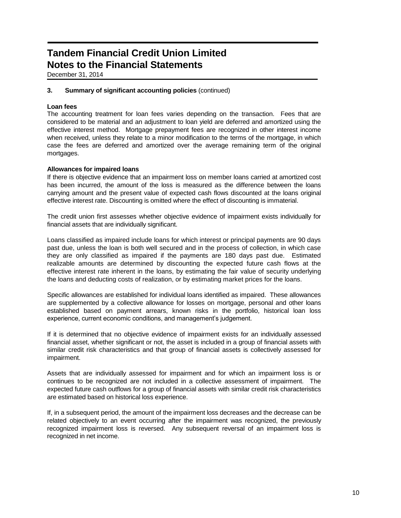December 31, 2014

### **3. Summary of significant accounting policies** (continued)

### **Loan fees**

The accounting treatment for loan fees varies depending on the transaction. Fees that are considered to be material and an adjustment to loan yield are deferred and amortized using the effective interest method. Mortgage prepayment fees are recognized in other interest income when received, unless they relate to a minor modification to the terms of the mortgage, in which case the fees are deferred and amortized over the average remaining term of the original mortgages.

### **Allowances for impaired loans**

If there is objective evidence that an impairment loss on member loans carried at amortized cost has been incurred, the amount of the loss is measured as the difference between the loans carrying amount and the present value of expected cash flows discounted at the loans original effective interest rate. Discounting is omitted where the effect of discounting is immaterial.

The credit union first assesses whether objective evidence of impairment exists individually for financial assets that are individually significant.

Loans classified as impaired include loans for which interest or principal payments are 90 days past due, unless the loan is both well secured and in the process of collection, in which case they are only classified as impaired if the payments are 180 days past due. Estimated realizable amounts are determined by discounting the expected future cash flows at the effective interest rate inherent in the loans, by estimating the fair value of security underlying the loans and deducting costs of realization, or by estimating market prices for the loans.

Specific allowances are established for individual loans identified as impaired. These allowances are supplemented by a collective allowance for losses on mortgage, personal and other loans established based on payment arrears, known risks in the portfolio, historical loan loss experience, current economic conditions, and management's judgement.

If it is determined that no objective evidence of impairment exists for an individually assessed financial asset, whether significant or not, the asset is included in a group of financial assets with similar credit risk characteristics and that group of financial assets is collectively assessed for impairment.

Assets that are individually assessed for impairment and for which an impairment loss is or continues to be recognized are not included in a collective assessment of impairment. The expected future cash outflows for a group of financial assets with similar credit risk characteristics are estimated based on historical loss experience.

If, in a subsequent period, the amount of the impairment loss decreases and the decrease can be related objectively to an event occurring after the impairment was recognized, the previously recognized impairment loss is reversed. Any subsequent reversal of an impairment loss is recognized in net income.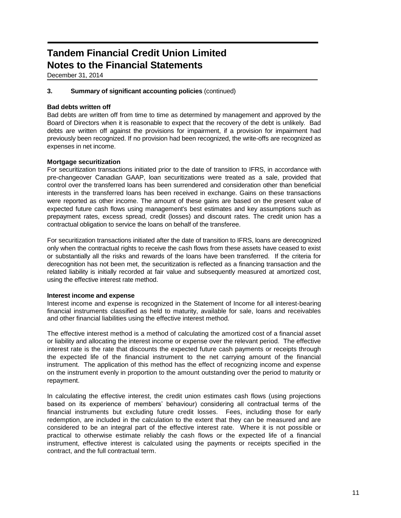December 31, 2014

### **3. Summary of significant accounting policies** (continued)

### **Bad debts written off**

Bad debts are written off from time to time as determined by management and approved by the Board of Directors when it is reasonable to expect that the recovery of the debt is unlikely. Bad debts are written off against the provisions for impairment, if a provision for impairment had previously been recognized. If no provision had been recognized, the write-offs are recognized as expenses in net income.

### **Mortgage securitization**

For securitization transactions initiated prior to the date of transition to IFRS, in accordance with pre-changeover Canadian GAAP, loan securitizations were treated as a sale, provided that control over the transferred loans has been surrendered and consideration other than beneficial interests in the transferred loans has been received in exchange. Gains on these transactions were reported as other income. The amount of these gains are based on the present value of expected future cash flows using management's best estimates and key assumptions such as prepayment rates, excess spread, credit (losses) and discount rates. The credit union has a contractual obligation to service the loans on behalf of the transferee.

For securitization transactions initiated after the date of transition to IFRS, loans are derecognized only when the contractual rights to receive the cash flows from these assets have ceased to exist or substantially all the risks and rewards of the loans have been transferred. If the criteria for derecognition has not been met, the securitization is reflected as a financing transaction and the related liability is initially recorded at fair value and subsequently measured at amortized cost, using the effective interest rate method.

### **Interest income and expense**

Interest income and expense is recognized in the Statement of Income for all interest-bearing financial instruments classified as held to maturity, available for sale, loans and receivables and other financial liabilities using the effective interest method.

The effective interest method is a method of calculating the amortized cost of a financial asset or liability and allocating the interest income or expense over the relevant period. The effective interest rate is the rate that discounts the expected future cash payments or receipts through the expected life of the financial instrument to the net carrying amount of the financial instrument. The application of this method has the effect of recognizing income and expense on the instrument evenly in proportion to the amount outstanding over the period to maturity or repayment.

In calculating the effective interest, the credit union estimates cash flows (using projections based on its experience of members' behaviour) considering all contractual terms of the financial instruments but excluding future credit losses. Fees, including those for early redemption, are included in the calculation to the extent that they can be measured and are considered to be an integral part of the effective interest rate. Where it is not possible or practical to otherwise estimate reliably the cash flows or the expected life of a financial instrument, effective interest is calculated using the payments or receipts specified in the contract, and the full contractual term.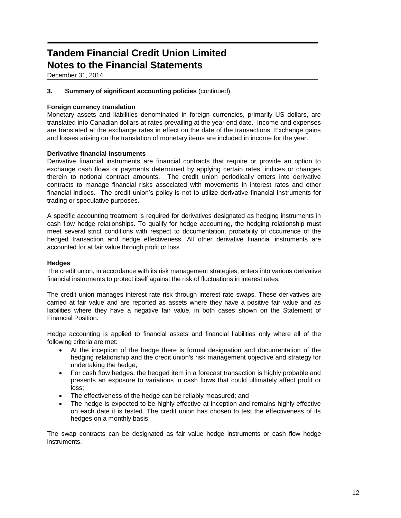December 31, 2014

### **3. Summary of significant accounting policies** (continued)

### **Foreign currency translation**

Monetary assets and liabilities denominated in foreign currencies, primarily US dollars, are translated into Canadian dollars at rates prevailing at the year end date. Income and expenses are translated at the exchange rates in effect on the date of the transactions. Exchange gains and losses arising on the translation of monetary items are included in income for the year.

### **Derivative financial instruments**

Derivative financial instruments are financial contracts that require or provide an option to exchange cash flows or payments determined by applying certain rates, indices or changes therein to notional contract amounts. The credit union periodically enters into derivative contracts to manage financial risks associated with movements in interest rates and other financial indices. The credit union's policy is not to utilize derivative financial instruments for trading or speculative purposes.

A specific accounting treatment is required for derivatives designated as hedging instruments in cash flow hedge relationships. To qualify for hedge accounting, the hedging relationship must meet several strict conditions with respect to documentation, probability of occurrence of the hedged transaction and hedge effectiveness. All other derivative financial instruments are accounted for at fair value through profit or loss.

### **Hedges**

The credit union, in accordance with its risk management strategies, enters into various derivative financial instruments to protect itself against the risk of fluctuations in interest rates.

The credit union manages interest rate risk through interest rate swaps. These derivatives are carried at fair value and are reported as assets where they have a positive fair value and as liabilities where they have a negative fair value, in both cases shown on the Statement of Financial Position.

Hedge accounting is applied to financial assets and financial liabilities only where all of the following criteria are met:

- At the inception of the hedge there is formal designation and documentation of the hedging relationship and the credit union's risk management objective and strategy for undertaking the hedge;
- For cash flow hedges, the hedged item in a forecast transaction is highly probable and presents an exposure to variations in cash flows that could ultimately affect profit or loss;
- The effectiveness of the hedge can be reliably measured; and
- The hedge is expected to be highly effective at inception and remains highly effective on each date it is tested. The credit union has chosen to test the effectiveness of its hedges on a monthly basis.

The swap contracts can be designated as fair value hedge instruments or cash flow hedge instruments.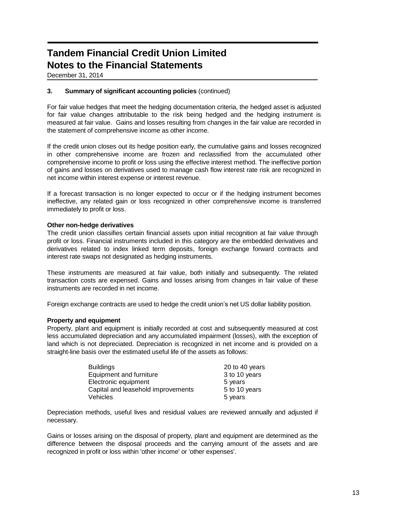December 31, 2014

## **3. Summary of significant accounting policies** (continued)

For fair value hedges that meet the hedging documentation criteria, the hedged asset is adjusted for fair value changes attributable to the risk being hedged and the hedging instrument is measured at fair value. Gains and losses resulting from changes in the fair value are recorded in the statement of comprehensive income as other income.

If the credit union closes out its hedge position early, the cumulative gains and losses recognized in other comprehensive income are frozen and reclassified from the accumulated other comprehensive income to profit or loss using the effective interest method. The ineffective portion of gains and losses on derivatives used to manage cash flow interest rate risk are recognized in net income within interest expense or interest revenue.

If a forecast transaction is no longer expected to occur or if the hedging instrument becomes ineffective, any related gain or loss recognized in other comprehensive income is transferred immediately to profit or loss.

### **Other non-hedge derivatives**

The credit union classifies certain financial assets upon initial recognition at fair value through profit or loss. Financial instruments included in this category are the embedded derivatives and derivatives related to index linked term deposits, foreign exchange forward contracts and interest rate swaps not designated as hedging instruments.

These instruments are measured at fair value, both initially and subsequently. The related transaction costs are expensed. Gains and losses arising from changes in fair value of these instruments are recorded in net income.

Foreign exchange contracts are used to hedge the credit union's net US dollar liability position.

### **Property and equipment**

Property, plant and equipment is initially recorded at cost and subsequently measured at cost less accumulated depreciation and any accumulated impairment (losses), with the exception of land which is not depreciated. Depreciation is recognized in net income and is provided on a straight-line basis over the estimated useful life of the assets as follows:

| <b>Buildings</b>                   | 20 to 40 years |
|------------------------------------|----------------|
| Equipment and furniture            | 3 to 10 years  |
| Electronic equipment               | 5 years        |
| Capital and leasehold improvements | 5 to 10 years  |
| Vehicles                           | 5 years        |

Depreciation methods, useful lives and residual values are reviewed annually and adjusted if necessary.

Gains or losses arising on the disposal of property, plant and equipment are determined as the difference between the disposal proceeds and the carrying amount of the assets and are recognized in profit or loss within 'other income' or 'other expenses'.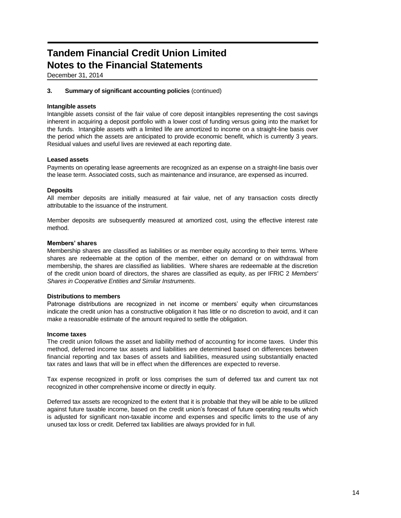December 31, 2014

### **3. Summary of significant accounting policies** (continued)

#### **Intangible assets**

Intangible assets consist of the fair value of core deposit intangibles representing the cost savings inherent in acquiring a deposit portfolio with a lower cost of funding versus going into the market for the funds. Intangible assets with a limited life are amortized to income on a straight-line basis over the period which the assets are anticipated to provide economic benefit, which is currently 3 years. Residual values and useful lives are reviewed at each reporting date.

#### **Leased assets**

Payments on operating lease agreements are recognized as an expense on a straight-line basis over the lease term. Associated costs, such as maintenance and insurance, are expensed as incurred.

#### **Deposits**

All member deposits are initially measured at fair value, net of any transaction costs directly attributable to the issuance of the instrument.

Member deposits are subsequently measured at amortized cost, using the effective interest rate method.

### **Members' shares**

Membership shares are classified as liabilities or as member equity according to their terms. Where shares are redeemable at the option of the member, either on demand or on withdrawal from membership, the shares are classified as liabilities. Where shares are redeemable at the discretion of the credit union board of directors, the shares are classified as equity, as per IFRIC 2 *Members' Shares in Cooperative Entities and Similar Instruments*.

#### **Distributions to members**

Patronage distributions are recognized in net income or members' equity when circumstances indicate the credit union has a constructive obligation it has little or no discretion to avoid, and it can make a reasonable estimate of the amount required to settle the obligation.

#### **Income taxes**

The credit union follows the asset and liability method of accounting for income taxes. Under this method, deferred income tax assets and liabilities are determined based on differences between financial reporting and tax bases of assets and liabilities, measured using substantially enacted tax rates and laws that will be in effect when the differences are expected to reverse.

Tax expense recognized in profit or loss comprises the sum of deferred tax and current tax not recognized in other comprehensive income or directly in equity.

Deferred tax assets are recognized to the extent that it is probable that they will be able to be utilized against future taxable income, based on the credit union's forecast of future operating results which is adjusted for significant non-taxable income and expenses and specific limits to the use of any unused tax loss or credit. Deferred tax liabilities are always provided for in full.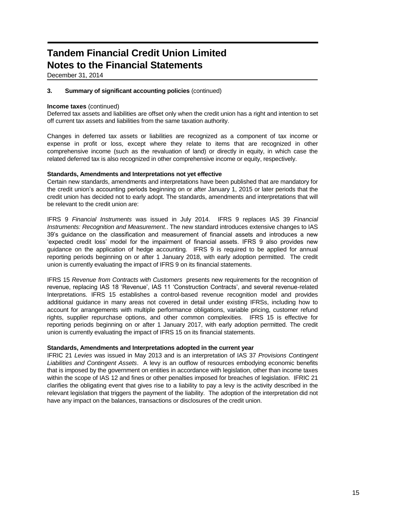December 31, 2014

### **3. Summary of significant accounting policies** (continued)

#### **Income taxes** (continued)

Deferred tax assets and liabilities are offset only when the credit union has a right and intention to set off current tax assets and liabilities from the same taxation authority.

Changes in deferred tax assets or liabilities are recognized as a component of tax income or expense in profit or loss, except where they relate to items that are recognized in other comprehensive income (such as the revaluation of land) or directly in equity, in which case the related deferred tax is also recognized in other comprehensive income or equity, respectively.

#### **Standards, Amendments and Interpretations not yet effective**

Certain new standards, amendments and interpretations have been published that are mandatory for the credit union's accounting periods beginning on or after January 1, 2015 or later periods that the credit union has decided not to early adopt. The standards, amendments and interpretations that will be relevant to the credit union are:

IFRS 9 *Financial Instruments* was issued in July 2014. IFRS 9 replaces IAS 39 *Financial Instruments: Recognition and Measurement.*. The new standard introduces extensive changes to IAS 39's guidance on the classification and measurement of financial assets and introduces a new 'expected credit loss' model for the impairment of financial assets. IFRS 9 also provides new guidance on the application of hedge accounting. IFRS 9 is required to be applied for annual reporting periods beginning on or after 1 January 2018, with early adoption permitted. The credit union is currently evaluating the impact of IFRS 9 on its financial statements.

IFRS 15 *Revenue from Contracts with Customers* presents new requirements for the recognition of revenue, replacing IAS 18 'Revenue', IAS 11 'Construction Contracts', and several revenue-related Interpretations. IFRS 15 establishes a control-based revenue recognition model and provides additional guidance in many areas not covered in detail under existing IFRSs, including how to account for arrangements with multiple performance obligations, variable pricing, customer refund rights, supplier repurchase options, and other common complexities. IFRS 15 is effective for reporting periods beginning on or after 1 January 2017, with early adoption permitted. The credit union is currently evaluating the impact of IFRS 15 on its financial statements.

#### **Standards, Amendments and Interpretations adopted in the current year**

IFRIC 21 *Levies* was issued in May 2013 and is an interpretation of IAS 37 *Provisions Contingent Liabilities and Contingent Assets*. A levy is an outflow of resources embodying economic benefits that is imposed by the government on entities in accordance with legislation, other than income taxes within the scope of IAS 12 and fines or other penalties imposed for breaches of legislation. IFRIC 21 clarifies the obligating event that gives rise to a liability to pay a levy is the activity described in the relevant legislation that triggers the payment of the liability. The adoption of the interpretation did not have any impact on the balances, transactions or disclosures of the credit union.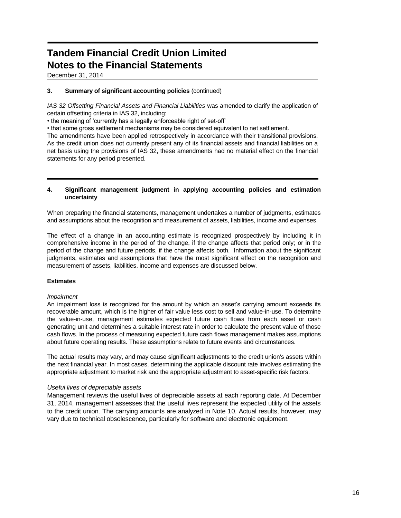December 31, 2014

### **3. Summary of significant accounting policies** (continued)

*IAS 32 Offsetting Financial Assets and Financial Liabilities was amended to clarify the application of* certain offsetting criteria in IAS 32, including:

• the meaning of 'currently has a legally enforceable right of set-off'

• that some gross settlement mechanisms may be considered equivalent to net settlement.

The amendments have been applied retrospectively in accordance with their transitional provisions. As the credit union does not currently present any of its financial assets and financial liabilities on a net basis using the provisions of IAS 32, these amendments had no material effect on the financial statements for any period presented.

### **4. Significant management judgment in applying accounting policies and estimation uncertainty**

When preparing the financial statements, management undertakes a number of judgments, estimates and assumptions about the recognition and measurement of assets, liabilities, income and expenses.

The effect of a change in an accounting estimate is recognized prospectively by including it in comprehensive income in the period of the change, if the change affects that period only; or in the period of the change and future periods, if the change affects both. Information about the significant judgments, estimates and assumptions that have the most significant effect on the recognition and measurement of assets, liabilities, income and expenses are discussed below.

### **Estimates**

### *Impairment*

An impairment loss is recognized for the amount by which an asset's carrying amount exceeds its recoverable amount, which is the higher of fair value less cost to sell and value-in-use. To determine the value-in-use, management estimates expected future cash flows from each asset or cash generating unit and determines a suitable interest rate in order to calculate the present value of those cash flows. In the process of measuring expected future cash flows management makes assumptions about future operating results. These assumptions relate to future events and circumstances.

The actual results may vary, and may cause significant adjustments to the credit union's assets within the next financial year. In most cases, determining the applicable discount rate involves estimating the appropriate adjustment to market risk and the appropriate adjustment to asset-specific risk factors.

### *Useful lives of depreciable assets*

Management reviews the useful lives of depreciable assets at each reporting date. At December 31, 2014, management assesses that the useful lives represent the expected utility of the assets to the credit union. The carrying amounts are analyzed in Note 10. Actual results, however, may vary due to technical obsolescence, particularly for software and electronic equipment.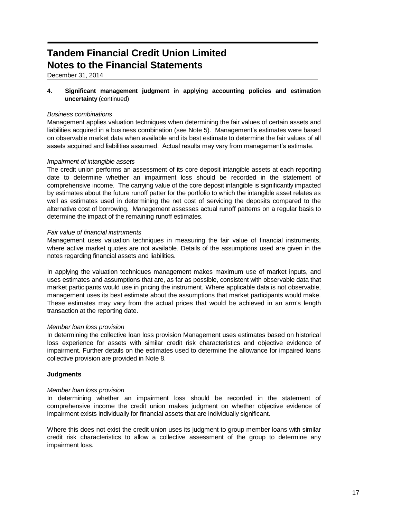December 31, 2014

**4. Significant management judgment in applying accounting policies and estimation uncertainty** (continued)

### *Business combinations*

Management applies valuation techniques when determining the fair values of certain assets and liabilities acquired in a business combination (see Note 5). Management's estimates were based on observable market data when available and its best estimate to determine the fair values of all assets acquired and liabilities assumed. Actual results may vary from management's estimate.

### *Impairment of intangible assets*

The credit union performs an assessment of its core deposit intangible assets at each reporting date to determine whether an impairment loss should be recorded in the statement of comprehensive income. The carrying value of the core deposit intangible is significantly impacted by estimates about the future runoff patter for the portfolio to which the intangible asset relates as well as estimates used in determining the net cost of servicing the deposits compared to the alternative cost of borrowing. Management assesses actual runoff patterns on a regular basis to determine the impact of the remaining runoff estimates.

### *Fair value of financial instruments*

Management uses valuation techniques in measuring the fair value of financial instruments, where active market quotes are not available. Details of the assumptions used are given in the notes regarding financial assets and liabilities.

In applying the valuation techniques management makes maximum use of market inputs, and uses estimates and assumptions that are, as far as possible, consistent with observable data that market participants would use in pricing the instrument. Where applicable data is not observable, management uses its best estimate about the assumptions that market participants would make. These estimates may vary from the actual prices that would be achieved in an arm's length transaction at the reporting date.

### *Member loan loss provision*

In determining the collective loan loss provision Management uses estimates based on historical loss experience for assets with similar credit risk characteristics and objective evidence of impairment. Further details on the estimates used to determine the allowance for impaired loans collective provision are provided in Note 8.

# **Judgments**

### *Member loan loss provision*

In determining whether an impairment loss should be recorded in the statement of comprehensive income the credit union makes judgment on whether objective evidence of impairment exists individually for financial assets that are individually significant.

Where this does not exist the credit union uses its judgment to group member loans with similar credit risk characteristics to allow a collective assessment of the group to determine any impairment loss.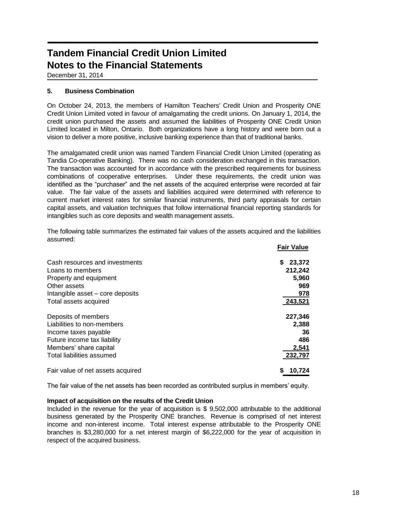December 31, 2014

# **5. Business Combination**

On October 24, 2013, the members of Hamilton Teachers' Credit Union and Prosperity ONE Credit Union Limited voted in favour of amalgamating the credit unions. On January 1, 2014, the credit union purchased the assets and assumed the liabilities of Prosperity ONE Credit Union Limited located in Milton, Ontario. Both organizations have a long history and were born out a vision to deliver a more positive, inclusive banking experience than that of traditional banks.

The amalgamated credit union was named Tandem Financial Credit Union Limited (operating as Tandia Co-operative Banking). There was no cash consideration exchanged in this transaction. The transaction was accounted for in accordance with the prescribed requirements for business combinations of cooperative enterprises. Under these requirements, the credit union was identified as the "purchaser" and the net assets of the acquired enterprise were recorded at fair value. The fair value of the assets and liabilities acquired were determined with reference to current market interest rates for similar financial instruments, third party appraisals for certain capital assets, and valuation techniques that follow international financial reporting standards for intangibles such as core deposits and wealth management assets.

The following table summarizes the estimated fair values of the assets acquired and the liabilities assumed: **Fair Value**

|                                   | <b>Fair value</b> |
|-----------------------------------|-------------------|
| Cash resources and investments    | 23,372<br>S.      |
| Loans to members                  | 212,242           |
| Property and equipment            | 5,960             |
| Other assets                      | 969               |
| Intangible asset – core deposits  | 978               |
| Total assets acquired             | 243,521           |
| Deposits of members               | 227,346           |
| Liabilities to non-members        | 2,388             |
| Income taxes payable              | 36                |
| Future income tax liability       | 486               |
| Members' share capital            | 2,541             |
| Total liabilities assumed         | 232,797           |
| Fair value of net assets acquired | 10,724            |

The fair value of the net assets has been recorded as contributed surplus in members' equity.

### **Impact of acquisition on the results of the Credit Union**

Included in the revenue for the year of acquisition is \$ 9,502,000 attributable to the additional business generated by the Prosperity ONE branches. Revenue is comprised of net interest income and non-interest income. Total interest expense attributable to the Prosperity ONE branches is \$3,280,000 for a net interest margin of \$6,222,000 for the year of acquisition in respect of the acquired business.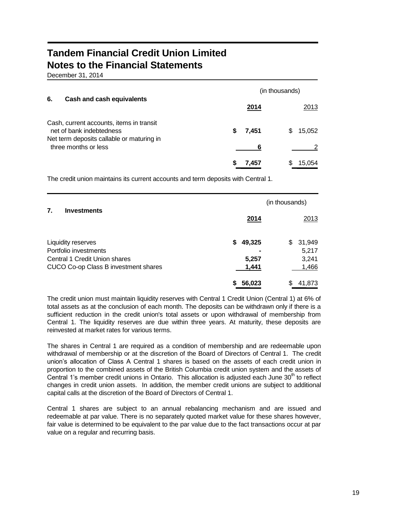December 31, 2014

|                                                                                                                   |            | (in thousands) |  |  |  |
|-------------------------------------------------------------------------------------------------------------------|------------|----------------|--|--|--|
| 6.<br>Cash and cash equivalents                                                                                   | 2014       | 2013           |  |  |  |
| Cash, current accounts, items in transit<br>net of bank indebtedness<br>Net term deposits callable or maturing in | S<br>7,451 | 15,052<br>S    |  |  |  |
| three months or less                                                                                              | 6          |                |  |  |  |
|                                                                                                                   | 7,457      | 15,054<br>5    |  |  |  |

The credit union maintains its current accounts and term deposits with Central 1.

|                                                                                                |                | (in thousands)        |
|------------------------------------------------------------------------------------------------|----------------|-----------------------|
| 7.<br><b>Investments</b>                                                                       | 2014           | 2013                  |
| Liquidity reserves                                                                             | 49,325<br>S    | 31,949<br>\$<br>5,217 |
| Portfolio investments<br>Central 1 Credit Union shares<br>CUCO Co-op Class B investment shares | 5,257<br>1,441 | 3,241<br>1,466        |
|                                                                                                | 56,023         | 41,873                |

The credit union must maintain liquidity reserves with Central 1 Credit Union (Central 1) at 6% of total assets as at the conclusion of each month. The deposits can be withdrawn only if there is a sufficient reduction in the credit union's total assets or upon withdrawal of membership from Central 1. The liquidity reserves are due within three years. At maturity, these deposits are reinvested at market rates for various terms.

The shares in Central 1 are required as a condition of membership and are redeemable upon withdrawal of membership or at the discretion of the Board of Directors of Central 1. The credit union's allocation of Class A Central 1 shares is based on the assets of each credit union in proportion to the combined assets of the British Columbia credit union system and the assets of Central 1's member credit unions in Ontario. This allocation is adjusted each June  $30<sup>th</sup>$  to reflect changes in credit union assets. In addition, the member credit unions are subject to additional capital calls at the discretion of the Board of Directors of Central 1.

Central 1 shares are subject to an annual rebalancing mechanism and are issued and redeemable at par value. There is no separately quoted market value for these shares however, fair value is determined to be equivalent to the par value due to the fact transactions occur at par value on a regular and recurring basis.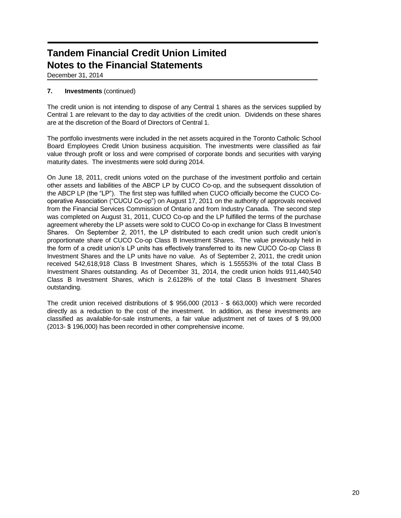December 31, 2014

# **7. Investments** (continued)

The credit union is not intending to dispose of any Central 1 shares as the services supplied by Central 1 are relevant to the day to day activities of the credit union. Dividends on these shares are at the discretion of the Board of Directors of Central 1.

The portfolio investments were included in the net assets acquired in the Toronto Catholic School Board Employees Credit Union business acquisition. The investments were classified as fair value through profit or loss and were comprised of corporate bonds and securities with varying maturity dates. The investments were sold during 2014.

On June 18, 2011, credit unions voted on the purchase of the investment portfolio and certain other assets and liabilities of the ABCP LP by CUCO Co-op, and the subsequent dissolution of the ABCP LP (the "LP"). The first step was fulfilled when CUCO officially become the CUCO Cooperative Association ("CUCU Co-op") on August 17, 2011 on the authority of approvals received from the Financial Services Commission of Ontario and from Industry Canada. The second step was completed on August 31, 2011, CUCO Co-op and the LP fulfilled the terms of the purchase agreement whereby the LP assets were sold to CUCO Co-op in exchange for Class B Investment Shares. On September 2, 2011, the LP distributed to each credit union such credit union's proportionate share of CUCO Co-op Class B Investment Shares. The value previously held in the form of a credit union's LP units has effectively transferred to its new CUCO Co-op Class B Investment Shares and the LP units have no value. As of September 2, 2011, the credit union received 542,618,918 Class B Investment Shares, which is 1.55553% of the total Class B Investment Shares outstanding. As of December 31, 2014, the credit union holds 911,440,540 Class B Investment Shares, which is 2.6128% of the total Class B Investment Shares outstanding.

The credit union received distributions of \$ 956,000 (2013 - \$ 663,000) which were recorded directly as a reduction to the cost of the investment. In addition, as these investments are classified as available-for-sale instruments, a fair value adjustment net of taxes of \$ 99,000 (2013- \$ 196,000) has been recorded in other comprehensive income.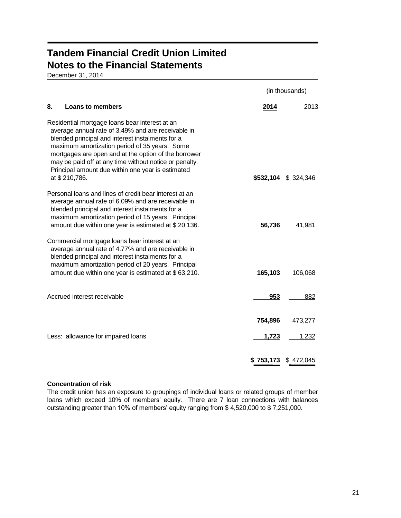December 31, 2014

|                                                                                                                                                                                                                                                                                                                                                                                                   |                  | (in thousands)   |
|---------------------------------------------------------------------------------------------------------------------------------------------------------------------------------------------------------------------------------------------------------------------------------------------------------------------------------------------------------------------------------------------------|------------------|------------------|
| 8.<br><b>Loans to members</b>                                                                                                                                                                                                                                                                                                                                                                     | 2014             | 2013             |
| Residential mortgage loans bear interest at an<br>average annual rate of 3.49% and are receivable in<br>blended principal and interest instalments for a<br>maximum amortization period of 35 years. Some<br>mortgages are open and at the option of the borrower<br>may be paid off at any time without notice or penalty.<br>Principal amount due within one year is estimated<br>at \$210,786. | \$532,104        | \$324,346        |
| Personal loans and lines of credit bear interest at an<br>average annual rate of 6.09% and are receivable in<br>blended principal and interest instalments for a<br>maximum amortization period of 15 years. Principal<br>amount due within one year is estimated at \$20,136.                                                                                                                    | 56,736           | 41,981           |
| Commercial mortgage loans bear interest at an<br>average annual rate of 4.77% and are receivable in<br>blended principal and interest instalments for a<br>maximum amortization period of 20 years. Principal<br>amount due within one year is estimated at \$63,210.                                                                                                                             | 165,103          | 106,068          |
| Accrued interest receivable                                                                                                                                                                                                                                                                                                                                                                       | 953              | 882              |
| Less: allowance for impaired loans                                                                                                                                                                                                                                                                                                                                                                | 754,896<br>1,723 | 473,277<br>1,232 |
|                                                                                                                                                                                                                                                                                                                                                                                                   | \$753,173        | \$472,045        |

# **Concentration of risk**

The credit union has an exposure to groupings of individual loans or related groups of member loans which exceed 10% of members' equity. There are 7 loan connections with balances outstanding greater than 10% of members' equity ranging from \$ 4,520,000 to \$ 7,251,000.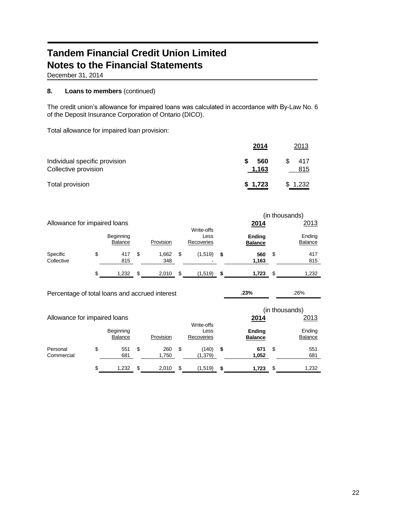December 31, 2014

## **8. Loans to members** (continued)

The credit union's allowance for impaired loans was calculated in accordance with By-Law No. 6 of the Deposit Insurance Corporation of Ontario (DICO).

Total allowance for impaired loan provision:

|                                                       | 2014         | 2013       |
|-------------------------------------------------------|--------------|------------|
| Individual specific provision<br>Collective provision | 560<br>1,163 | 417<br>815 |
| Total provision                                       | \$1,723      | \$1,232    |

|                              |    |                      |    |              |    |                                  | (in thousands) |                                 |                   |
|------------------------------|----|----------------------|----|--------------|----|----------------------------------|----------------|---------------------------------|-------------------|
| Allowance for impaired loans |    |                      |    |              |    |                                  |                | 2014                            | 2013              |
|                              |    | Beginning<br>Balance |    | Provision    |    | Write-offs<br>Less<br>Recoveries |                | <b>Ending</b><br><b>Balance</b> | Ending<br>Balance |
| Specific<br>Collective       | \$ | 417<br>815           | S  | 1.662<br>348 | \$ | (1,519)<br>-                     | \$             | 560<br>1,163                    | \$<br>417<br>815  |
|                              | \$ | 1,232                | \$ | 2.010        | \$ | (1,519)                          | S              | 1.723                           | \$<br>1,232       |

| Percentage of total loans and accrued interest |    |                |    |           | .23% |                    | .26% |                |    |                |
|------------------------------------------------|----|----------------|----|-----------|------|--------------------|------|----------------|----|----------------|
|                                                |    |                |    |           |      |                    |      |                |    | (in thousands) |
| Allowance for impaired loans                   |    |                |    |           |      |                    |      | 2014           |    | 2013           |
|                                                |    | Beginning      |    |           |      | Write-offs<br>Less |      | <b>Ending</b>  |    | Ending         |
|                                                |    | <b>Balance</b> |    | Provision |      | Recoveries         |      | <b>Balance</b> |    | Balance        |
| Personal                                       | \$ | 551            | \$ | 260       | \$   | (140)              | \$   | 671            | \$ | 551            |
| Commercial                                     |    | 681            |    | 1,750     |      | (1,379)            |      | 1,052          |    | 681            |
|                                                | \$ | 1.232          | S  | 2.010     | S    | (1,519)            | \$   | 1.723          | S  | 1.232          |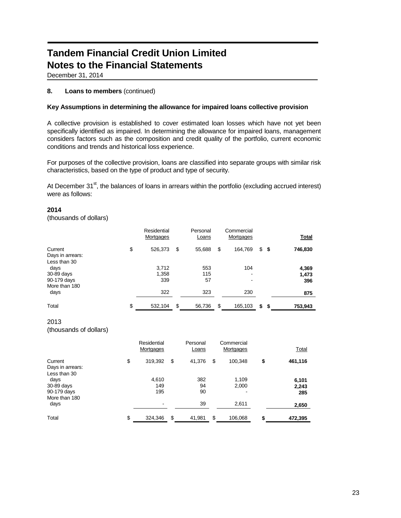December 31, 2014

# **8. Loans to members** (continued)

### **Key Assumptions in determining the allowance for impaired loans collective provision**

A collective provision is established to cover estimated loan losses which have not yet been specifically identified as impaired. In determining the allowance for impaired loans, management considers factors such as the composition and credit quality of the portfolio, current economic conditions and trends and historical loss experience.

For purposes of the collective provision, loans are classified into separate groups with similar risk characteristics, based on the type of product and type of security.

At December 31<sup>st</sup>, the balances of loans in arrears within the portfolio (excluding accrued interest) were as follows:

### **2014**

(thousands of dollars)

|                                             | Residential<br>Mortgages | Personal<br>Loans | Commercial<br>Mortgages |            | <b>Total</b>   |
|---------------------------------------------|--------------------------|-------------------|-------------------------|------------|----------------|
| Current<br>Days in arrears:<br>Less than 30 | \$<br>526,373            | \$<br>55,688      | \$<br>164,769           | \$<br>- \$ | 746,830        |
| days<br>30-89 days                          | 3,712<br>1,358           | 553<br>115        | 104<br>$\blacksquare$   |            | 4,369<br>1,473 |
| 90-179 days<br>More than 180                | 339                      | 57                | -                       |            | 396            |
| days                                        | 322                      | 323               | 230                     |            | 875            |
| Total                                       | \$<br>532,104            | \$<br>56,736      | \$<br>165,103           | \$<br>\$   | 753,943        |

### 2013 (thousands of dollars)

|                                                   | Residential<br>Mortgages | Personal<br>Loans | Commercial<br>Mortgages                    | <b>Total</b>          |
|---------------------------------------------------|--------------------------|-------------------|--------------------------------------------|-----------------------|
| Current<br>Days in arrears:                       | \$<br>319,392            | \$<br>41,376      | \$<br>100,348                              | \$<br>461,116         |
| Less than 30<br>days<br>30-89 days<br>90-179 days | 4,610<br>149<br>195      | 382<br>94<br>90   | 1,109<br>2,000<br>$\overline{\phantom{a}}$ | 6,101<br>2,243<br>285 |
| More than 180<br>days                             | ۰                        | 39                | 2,611                                      | 2,650                 |
| Total                                             | \$<br>324,346            | \$<br>41,981      | \$<br>106,068                              | 472,395               |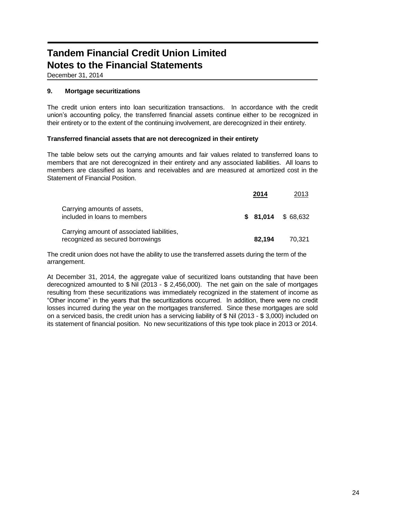December 31, 2014

## **9. Mortgage securitizations**

The credit union enters into loan securitization transactions. In accordance with the credit union's accounting policy, the transferred financial assets continue either to be recognized in their entirety or to the extent of the continuing involvement, are derecognized in their entirety.

### **Transferred financial assets that are not derecognized in their entirety**

The table below sets out the carrying amounts and fair values related to transferred loans to members that are not derecognized in their entirety and any associated liabilities. All loans to members are classified as loans and receivables and are measured at amortized cost in the Statement of Financial Position.

|                                                                                | 2014   | 2013                |
|--------------------------------------------------------------------------------|--------|---------------------|
| Carrying amounts of assets,<br>included in loans to members                    |        | $$81.014$ $$68.632$ |
| Carrying amount of associated liabilities,<br>recognized as secured borrowings | 82.194 | 70.321              |

The credit union does not have the ability to use the transferred assets during the term of the arrangement.

At December 31, 2014, the aggregate value of securitized loans outstanding that have been derecognized amounted to \$ Nil (2013 - \$ 2,456,000). The net gain on the sale of mortgages resulting from these securitizations was immediately recognized in the statement of income as "Other income" in the years that the securitizations occurred. In addition, there were no credit losses incurred during the year on the mortgages transferred. Since these mortgages are sold on a serviced basis, the credit union has a servicing liability of \$ Nil (2013 - \$ 3,000) included on its statement of financial position. No new securitizations of this type took place in 2013 or 2014.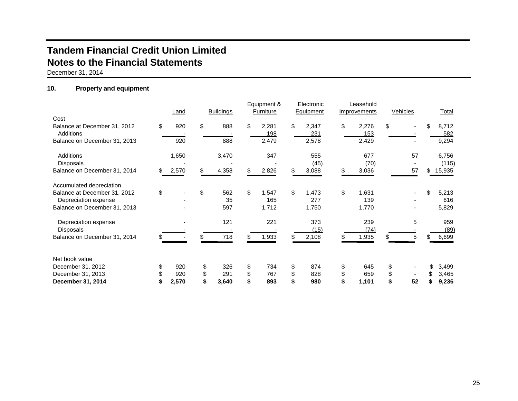December 31, 2014

# **10. Property and equipment**

|                                                          |    |       |     |                  | Equipment &        |    | Electronic   |    | Leasehold    |          |     |                |
|----------------------------------------------------------|----|-------|-----|------------------|--------------------|----|--------------|----|--------------|----------|-----|----------------|
|                                                          |    | Land  |     | <b>Buildings</b> | Furniture          |    | Equipment    |    | Improvements | Vehicles |     | Total          |
| Cost<br>Balance at December 31, 2012<br><b>Additions</b> | \$ | 920   | \$  | 888              | \$<br>2,281        | \$ | 2,347        | \$ | 2,276        | \$       | \$  | 8,712          |
| Balance on December 31, 2013                             |    | 920   |     | 888              | 198<br>2,479       |    | 231<br>2,578 |    | 153<br>2,429 |          |     | 582<br>9,294   |
| <b>Additions</b><br><b>Disposals</b>                     |    | 1,650 |     | 3,470            | 347                |    | 555<br>(45)  |    | 677<br>(70)  | 57       |     | 6,756<br>(115) |
| Balance on December 31, 2014                             | S. | 2,570 | \$. | 4,358            | \$<br>2,826        | \$ | 3,088        | S  | 3,036        | 57       | \$. | 15,935         |
| Accumulated depreciation                                 |    |       |     |                  |                    |    |              |    |              |          |     |                |
| Balance at December 31, 2012<br>Depreciation expense     | \$ |       | \$  | 562<br>35        | \$<br>1,547<br>165 | \$ | 1,473<br>277 | \$ | 1,631<br>139 |          |     | 5,213<br>616   |
| Balance on December 31, 2013                             |    |       |     | 597              | 1,712              |    | 1,750        |    | 1,770        |          |     | 5,829          |
| Depreciation expense<br><b>Disposals</b>                 |    |       |     | 121              | 221                |    | 373<br>(15)  |    | 239<br>(74)  | 5        |     | 959<br>(89)    |
| Balance on December 31, 2014                             |    |       |     | 718              | 1,933              | S. | 2,108        |    | 1,935        | \$<br>5  |     | 6,699          |
| Net book value                                           |    |       |     |                  |                    |    |              |    |              |          |     |                |
| December 31, 2012                                        | \$ | 920   | \$  | 326              | \$<br>734          | \$ | 874          | \$ | 645          | \$       |     | 3,499          |
| December 31, 2013                                        | \$ | 920   | \$  | 291              | \$<br>767          | \$ | 828          | \$ | 659          | \$       |     | 3,465          |
| December 31, 2014                                        |    | 2,570 | \$  | 3,640            | 893                |    | 980          | \$ | 1,101        | \$<br>52 |     | 9,236          |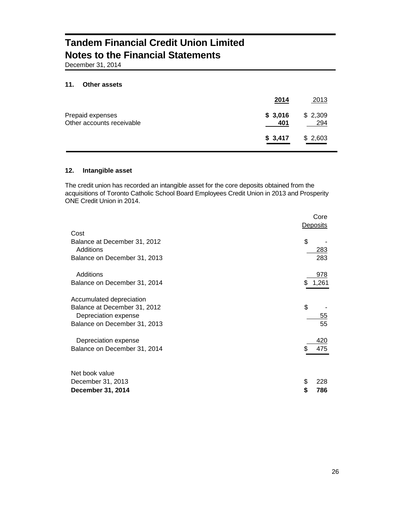December 31, 2014

#### **11. Other assets**

|                                               | 2014           | 2013           |
|-----------------------------------------------|----------------|----------------|
| Prepaid expenses<br>Other accounts receivable | \$3,016<br>401 | \$2,309<br>294 |
|                                               | \$3,417        | \$2,603        |

### **12. Intangible asset**

The credit union has recorded an intangible asset for the core deposits obtained from the acquisitions of Toronto Catholic School Board Employees Credit Union in 2013 and Prosperity ONE Credit Union in 2014.

|                              | Core<br>Deposits |
|------------------------------|------------------|
| Cost                         |                  |
| Balance at December 31, 2012 | \$               |
| Additions                    | 283              |
| Balance on December 31, 2013 | 283              |
| Additions                    | 978              |
| Balance on December 31, 2014 | 1,261            |
|                              |                  |
| Accumulated depreciation     |                  |
| Balance at December 31, 2012 | \$               |
| Depreciation expense         | 55               |
| Balance on December 31, 2013 | 55               |
| Depreciation expense         | 420              |
| Balance on December 31, 2014 | 475              |
|                              |                  |
| Net book value               |                  |
| December 31, 2013            | \$<br>228        |
| December 31, 2014            | \$<br>786        |
|                              |                  |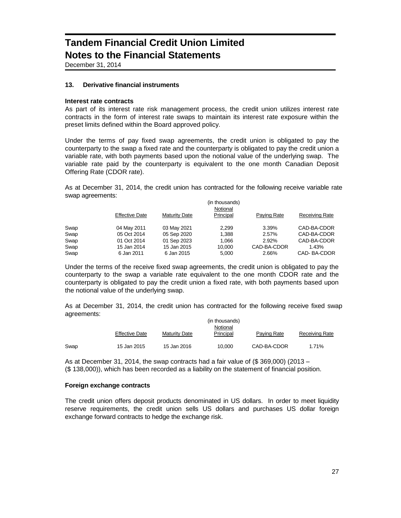December 31, 2014

### **13. Derivative financial instruments**

### **Interest rate contracts**

As part of its interest rate risk management process, the credit union utilizes interest rate contracts in the form of interest rate swaps to maintain its interest rate exposure within the preset limits defined within the Board approved policy.

Under the terms of pay fixed swap agreements, the credit union is obligated to pay the counterparty to the swap a fixed rate and the counterparty is obligated to pay the credit union a variable rate, with both payments based upon the notional value of the underlying swap. The variable rate paid by the counterparty is equivalent to the one month Canadian Deposit Offering Rate (CDOR rate).

As at December 31, 2014, the credit union has contracted for the following receive variable rate swap agreements:

|      |                       |                      | (in thousands) |             |                       |  |  |  |  |  |  |
|------|-----------------------|----------------------|----------------|-------------|-----------------------|--|--|--|--|--|--|
|      |                       | Notional             |                |             |                       |  |  |  |  |  |  |
|      | <b>Effective Date</b> | <b>Maturity Date</b> | Principal      | Paying Rate | <b>Receiving Rate</b> |  |  |  |  |  |  |
| Swap | 04 May 2011           | 03 May 2021          | 2.299          | 3.39%       | CAD-BA-CDOR           |  |  |  |  |  |  |
| Swap | 05 Oct 2014           | 05 Sep 2020          | 1.388          | 2.57%       | CAD-BA-CDOR           |  |  |  |  |  |  |
| Swap | 01 Oct 2014           | 01 Sep 2023          | 1.066          | 2.92%       | CAD-BA-CDOR           |  |  |  |  |  |  |
| Swap | 15 Jan 2014           | 15 Jan 2015          | 10.000         | CAD-BA-CDOR | 1.43%                 |  |  |  |  |  |  |
| Swap | 6 Jan 2011            | 6 Jan 2015           | 5.000          | 2.66%       | CAD-BA-CDOR           |  |  |  |  |  |  |

Under the terms of the receive fixed swap agreements, the credit union is obligated to pay the counterparty to the swap a variable rate equivalent to the one month CDOR rate and the counterparty is obligated to pay the credit union a fixed rate, with both payments based upon the notional value of the underlying swap.

As at December 31, 2014, the credit union has contracted for the following receive fixed swap agreements:

|      |                       |                      | (in thousands) |             |                |  |  |  |  |  |  |
|------|-----------------------|----------------------|----------------|-------------|----------------|--|--|--|--|--|--|
|      |                       | Notional             |                |             |                |  |  |  |  |  |  |
|      | <b>Effective Date</b> | <b>Maturity Date</b> | Principal      | Paying Rate | Receiving Rate |  |  |  |  |  |  |
| Swap | 15 Jan 2015           | 15 Jan 2016          | 10.000         | CAD-BA-CDOR | 1.71%          |  |  |  |  |  |  |

As at December 31, 2014, the swap contracts had a fair value of  $(\$369,000)$  (2013 – (\$ 138,000)), which has been recorded as a liability on the statement of financial position.

### **Foreign exchange contracts**

The credit union offers deposit products denominated in US dollars. In order to meet liquidity reserve requirements, the credit union sells US dollars and purchases US dollar foreign exchange forward contracts to hedge the exchange risk.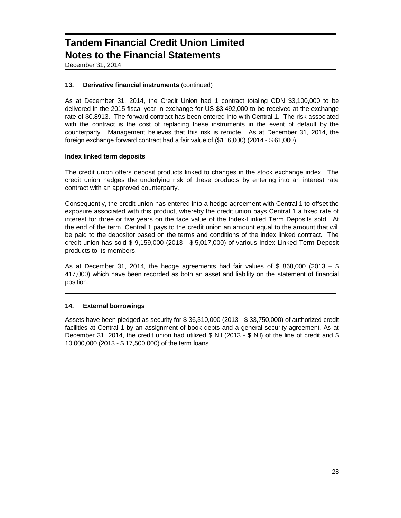December 31, 2014

### **13. Derivative financial instruments** (continued)

As at December 31, 2014, the Credit Union had 1 contract totaling CDN \$3,100,000 to be delivered in the 2015 fiscal year in exchange for US \$3,492,000 to be received at the exchange rate of \$0.8913. The forward contract has been entered into with Central 1. The risk associated with the contract is the cost of replacing these instruments in the event of default by the counterparty. Management believes that this risk is remote. As at December 31, 2014, the foreign exchange forward contract had a fair value of (\$116,000) (2014 - \$ 61,000).

### **Index linked term deposits**

The credit union offers deposit products linked to changes in the stock exchange index. The credit union hedges the underlying risk of these products by entering into an interest rate contract with an approved counterparty.

Consequently, the credit union has entered into a hedge agreement with Central 1 to offset the exposure associated with this product, whereby the credit union pays Central 1 a fixed rate of interest for three or five years on the face value of the Index-Linked Term Deposits sold. At the end of the term, Central 1 pays to the credit union an amount equal to the amount that will be paid to the depositor based on the terms and conditions of the index linked contract. The credit union has sold \$ 9,159,000 (2013 - \$ 5,017,000) of various Index-Linked Term Deposit products to its members.

As at December 31, 2014, the hedge agreements had fair values of \$868,000 (2013 – \$ 417,000) which have been recorded as both an asset and liability on the statement of financial position.

### **14. External borrowings**

Assets have been pledged as security for \$ 36,310,000 (2013 - \$ 33,750,000) of authorized credit facilities at Central 1 by an assignment of book debts and a general security agreement. As at December 31, 2014, the credit union had utilized \$ Nil (2013 - \$ Nil) of the line of credit and \$ 10,000,000 (2013 - \$ 17,500,000) of the term loans.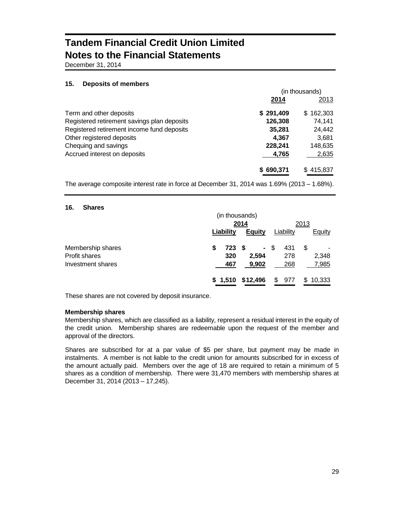December 31, 2014

### **15. Deposits of members**

|                                             | (in thousands) |           |  |  |
|---------------------------------------------|----------------|-----------|--|--|
|                                             | 2014           | 2013      |  |  |
| Term and other deposits                     | \$291,409      | \$162.303 |  |  |
| Registered retirement savings plan deposits | 126,308        | 74.141    |  |  |
| Registered retirement income fund deposits  | 35,281         | 24,442    |  |  |
| Other registered deposits                   | 4.367          | 3,681     |  |  |
| Chequing and savings                        | 228,241        | 148,635   |  |  |
| Accrued interest on deposits                | 4,765          | 2,635     |  |  |
|                                             | \$690,371      | \$415,837 |  |  |

The average composite interest rate in force at December 31, 2014 was 1.69% (2013 – 1.68%).

### **16. Shares**

|                      |   | (in thousands) |               |      |           |      |               |
|----------------------|---|----------------|---------------|------|-----------|------|---------------|
|                      |   |                | 2014          |      |           | 2013 |               |
|                      |   | Liability      | <b>Equity</b> |      | Liability |      | <b>Equity</b> |
| Membership shares    | S | 723 \$         |               | - \$ | 431       | S    |               |
| <b>Profit shares</b> |   | 320            | 2,594         |      | 278       |      | 2,348         |
| Investment shares    |   | 467            | 9,902         |      | 268       |      | 7,985         |
|                      |   | \$1,510        | \$12,496      | \$   | 977       | \$   | 10,333        |

These shares are not covered by deposit insurance.

### **Membership shares**

Membership shares, which are classified as a liability, represent a residual interest in the equity of the credit union. Membership shares are redeemable upon the request of the member and approval of the directors.

Shares are subscribed for at a par value of \$5 per share, but payment may be made in instalments. A member is not liable to the credit union for amounts subscribed for in excess of the amount actually paid. Members over the age of 18 are required to retain a minimum of 5 shares as a condition of membership. There were 31,470 members with membership shares at December 31, 2014 (2013 – 17,245).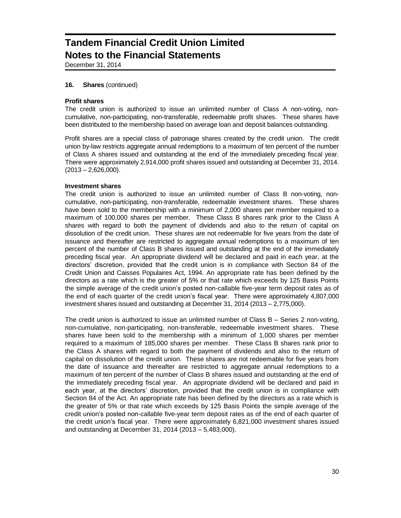December 31, 2014

#### **16. Shares** (continued)

#### **Profit shares**

The credit union is authorized to issue an unlimited number of Class A non-voting, noncumulative, non-participating, non-transferable, redeemable profit shares. These shares have been distributed to the membership based on average loan and deposit balances outstanding.

Profit shares are a special class of patronage shares created by the credit union. The credit union by-law restricts aggregate annual redemptions to a maximum of ten percent of the number of Class A shares issued and outstanding at the end of the immediately preceding fiscal year. There were approximately 2,914,000 profit shares issued and outstanding at December 31, 2014.  $(2013 - 2,626,000)$ .

#### **Investment shares**

The credit union is authorized to issue an unlimited number of Class B non-voting, noncumulative, non-participating, non-transferable, redeemable investment shares. These shares have been sold to the membership with a minimum of 2,000 shares per member required to a maximum of 100,000 shares per member. These Class B shares rank prior to the Class A shares with regard to both the payment of dividends and also to the return of capital on dissolution of the credit union. These shares are not redeemable for five years from the date of issuance and thereafter are restricted to aggregate annual redemptions to a maximum of ten percent of the number of Class B shares issued and outstanding at the end of the immediately preceding fiscal year. An appropriate dividend will be declared and paid in each year, at the directors' discretion, provided that the credit union is in compliance with Section 84 of the Credit Union and Caisses Populaires Act, 1994. An appropriate rate has been defined by the directors as a rate which is the greater of 5% or that rate which exceeds by 125 Basis Points the simple average of the credit union's posted non-callable five-year term deposit rates as of the end of each quarter of the credit union's fiscal year. There were approximately 4,807,000 investment shares issued and outstanding at December 31, 2014 (2013 – 2,775,000).

The credit union is authorized to issue an unlimited number of Class B – Series 2 non-voting, non-cumulative, non-participating, non-transferable, redeemable investment shares. These shares have been sold to the membership with a minimum of 1,000 shares per member required to a maximum of 185,000 shares per member. These Class B shares rank prior to the Class A shares with regard to both the payment of dividends and also to the return of capital on dissolution of the credit union. These shares are not redeemable for five years from the date of issuance and thereafter are restricted to aggregate annual redemptions to a maximum of ten percent of the number of Class B shares issued and outstanding at the end of the immediately preceding fiscal year. An appropriate dividend will be declared and paid in each year, at the directors' discretion, provided that the credit union is in compliance with Section 84 of the Act. An appropriate rate has been defined by the directors as a rate which is the greater of 5% or that rate which exceeds by 125 Basis Points the simple average of the credit union's posted non-callable five-year term deposit rates as of the end of each quarter of the credit union's fiscal year. There were approximately 6,821,000 investment shares issued and outstanding at December 31, 2014 (2013 – 5,483,000).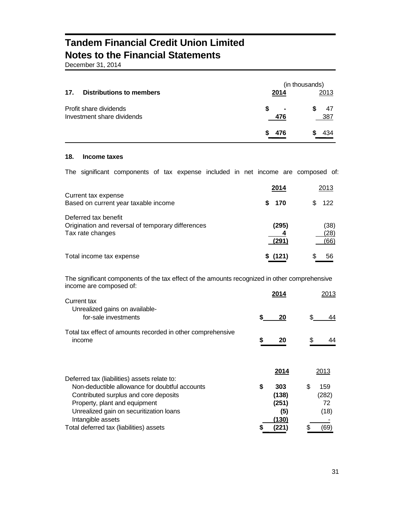December 31, 2014

| 17.<br><b>Distributions to members</b>               | 2014     | (in thousands)<br>2013 |
|------------------------------------------------------|----------|------------------------|
| Profit share dividends<br>Investment share dividends | S<br>476 | $\blacksquare$<br>387  |
|                                                      | 476<br>S | 434                    |

## **18. Income taxes**

The significant components of tax expense included in net income are composed of:

|                                                                                               | 2014           | 2013                 |
|-----------------------------------------------------------------------------------------------|----------------|----------------------|
| Current tax expense<br>Based on current year taxable income                                   | \$ 170         | 122                  |
| Deferred tax benefit<br>Origination and reversal of temporary differences<br>Tax rate changes | (295)<br>(291) | (38)<br>(28)<br>(66) |
| Total income tax expense                                                                      | \$(121)        | 56                   |

The significant components of the tax effect of the amounts recognized in other comprehensive income are composed of: **2014** 2013

| Current tax                                                           |    | 2014  |     | 2013  |
|-----------------------------------------------------------------------|----|-------|-----|-------|
| Unrealized gains on available-<br>for-sale investments                | S  | 20    | \$  | 44    |
| Total tax effect of amounts recorded in other comprehensive<br>income | \$ | 20    | \$  | 44    |
| Deferred tax (liabilities) assets relate to:                          |    | 2014  |     | 2013  |
| Non-deductible allowance for doubtful accounts                        | \$ | 303   | \$. | 159   |
| Contributed surplus and core deposits                                 |    | (138) |     | (282) |
| Property, plant and equipment                                         |    | (251) |     | 72    |
| Unrealized gain on securitization loans                               |    | (5)   |     | (18)  |
| Intangible assets                                                     |    | (130) |     |       |
| Total deferred tax (liabilities) assets                               |    | (221) |     | (69)  |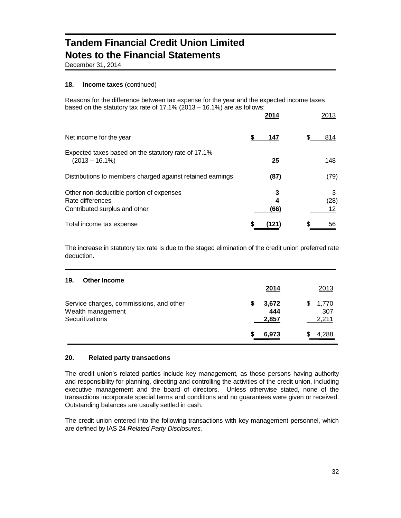December 31, 2014

### **18. Income taxes** (continued)

Reasons for the difference between tax expense for the year and the expected income taxes based on the statutory tax rate of 17.1% (2013 – 16.1%) are as follows:

|                                                                                               | 2014           | 2013            |
|-----------------------------------------------------------------------------------------------|----------------|-----------------|
| Net income for the year                                                                       | 147            | 814<br>S.       |
| Expected taxes based on the statutory rate of 17.1%<br>$(2013 - 16.1\%)$                      | 25             | 148             |
| Distributions to members charged against retained earnings                                    | (87)           | (79)            |
| Other non-deductible portion of expenses<br>Rate differences<br>Contributed surplus and other | 3<br>4<br>(66) | 3<br>(28)<br>12 |
| Total income tax expense                                                                      | (121)          | \$<br>56        |

The increase in statutory tax rate is due to the staged elimination of the credit union preferred rate deduction.

| 19.<br><b>Other Income</b>                                                      |                            |                            |
|---------------------------------------------------------------------------------|----------------------------|----------------------------|
|                                                                                 | 2014                       | 2013                       |
| Service charges, commissions, and other<br>Wealth management<br>Securitizations | 3,672<br>5<br>444<br>2,857 | 1,770<br>S<br>307<br>2,211 |
|                                                                                 | 6,973                      | 4,288                      |

### **20. Related party transactions**

The credit union's related parties include key management, as those persons having authority and responsibility for planning, directing and controlling the activities of the credit union, including executive management and the board of directors. Unless otherwise stated, none of the transactions incorporate special terms and conditions and no guarantees were given or received. Outstanding balances are usually settled in cash.

The credit union entered into the following transactions with key management personnel, which are defined by IAS 24 *Related Party Disclosures.*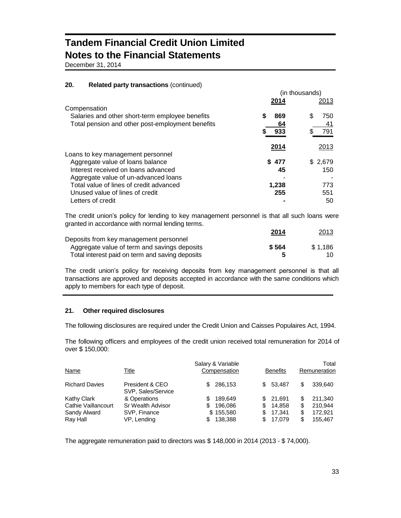December 31, 2014

### **20. Related party transactions** (continued)

|                                                  |       | (in thousands) |
|--------------------------------------------------|-------|----------------|
| Compensation                                     | 2014  | 2013           |
| Salaries and other short-term employee benefits  | 869   | \$<br>750      |
| Total pension and other post-employment benefits | 64    | 41             |
|                                                  | 933   | 791            |
|                                                  | 2014  | 2013           |
| Loans to key management personnel                |       |                |
| Aggregate value of loans balance                 | \$477 | \$2,679        |
| Interest received on loans advanced              | 45    | 150            |
| Aggregate value of un-advanced loans             |       |                |
| Total value of lines of credit advanced          | 1,238 | 773            |
| Unused value of lines of credit                  | 255   | 551            |
| Letters of credit                                |       | 50             |

The credit union's policy for lending to key management personnel is that all such loans were granted in accordance with normal lending terms.

|                                                 | 2014  | 2013    |
|-------------------------------------------------|-------|---------|
| Deposits from key management personnel          |       |         |
| Aggregate value of term and savings deposits    | \$564 | \$1.186 |
| Total interest paid on term and saving deposits |       |         |

The credit union's policy for receiving deposits from key management personnel is that all transactions are approved and deposits accepted in accordance with the same conditions which apply to members for each type of deposit.

### **21. Other required disclosures**

The following disclosures are required under the Credit Union and Caisses Populaires Act, 1994.

The following officers and employees of the credit union received total remuneration for 2014 of over \$ 150,000:

| <b>Name</b>              | Title                                 | Salary & Variable<br>Compensation | <b>Benefits</b>               | Total<br>Remuneration           |
|--------------------------|---------------------------------------|-----------------------------------|-------------------------------|---------------------------------|
| <b>Richard Davies</b>    | President & CEO<br>SVP, Sales/Service | 286.153<br>\$.                    | \$ 53.487                     | 339.640<br>S                    |
| <b>Kathy Clark</b>       | & Operations                          | 189.649                           | \$21.691                      | 211.340                         |
| Cathie Vaillancourt      | Sr Wealth Advisor                     | \$<br>196.086                     | 14.858<br>\$.                 | 210.944<br>\$                   |
| Sandy Alward<br>Ray Hall | SVP, Finance<br>VP, Lending           | \$155,580<br>138,388              | 17.341<br>\$<br>17,079<br>SS. | 172.921<br>\$<br>\$.<br>155.467 |

The aggregate remuneration paid to directors was \$ 148,000 in 2014 (2013 - \$ 74,000).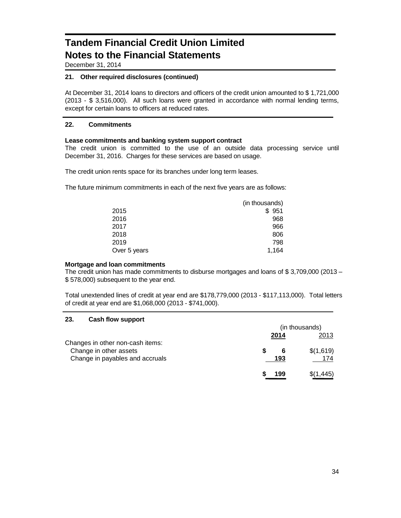December 31, 2014

### **21. Other required disclosures (continued)**

At December 31, 2014 loans to directors and officers of the credit union amounted to \$ 1,721,000 (2013 - \$ 3,516,000). All such loans were granted in accordance with normal lending terms, except for certain loans to officers at reduced rates.

### **22. Commitments**

### **Lease commitments and banking system support contract**

The credit union is committed to the use of an outside data processing service until December 31, 2016. Charges for these services are based on usage.

The credit union rents space for its branches under long term leases.

The future minimum commitments in each of the next five years are as follows:

|              | (in thousands) |
|--------------|----------------|
| 2015         | \$951          |
| 2016         | 968            |
| 2017         | 966            |
| 2018         | 806            |
| 2019         | 798            |
| Over 5 years | 1,164          |

### **Mortgage and loan commitments**

The credit union has made commitments to disburse mortgages and loans of \$ 3,709,000 (2013 – \$ 578,000) subsequent to the year end.

Total unextended lines of credit at year end are \$178,779,000 (2013 - \$117,113,000). Total letters of credit at year end are \$1,068,000 (2013 - \$741,000).

### **23. Cash flow support**

|                                                           | (in thousands) |          |                  |
|-----------------------------------------------------------|----------------|----------|------------------|
| Changes in other non-cash items:                          |                | 2014     | 2013             |
| Change in other assets<br>Change in payables and accruals |                | 6<br>193 | \$(1,619)<br>174 |
|                                                           |                | 199      | \$(1,445)        |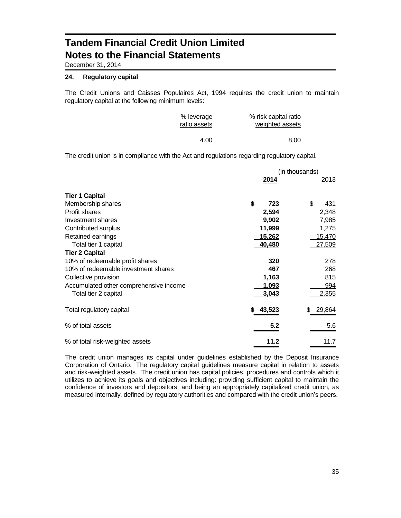December 31, 2014

#### **24. Regulatory capital**

The Credit Unions and Caisses Populaires Act, 1994 requires the credit union to maintain regulatory capital at the following minimum levels:

| % leverage   | % risk capital ratio |
|--------------|----------------------|
| ratio assets | weighted assets      |
| 4.00         | 8.00                 |

The credit union is in compliance with the Act and regulations regarding regulatory capital.

|                                        |             | (in thousands) |
|----------------------------------------|-------------|----------------|
|                                        | <u>2014</u> | <u> 2013 </u>  |
| <b>Tier 1 Capital</b>                  |             |                |
| Membership shares                      | \$<br>723   | \$<br>431      |
| Profit shares                          | 2,594       | 2,348          |
| Investment shares                      | 9,902       | 7,985          |
| Contributed surplus                    | 11,999      | 1,275          |
| Retained earnings                      | 15,262      | 15,470         |
| Total tier 1 capital                   | 40,480      | 27,509         |
| <b>Tier 2 Capital</b>                  |             |                |
| 10% of redeemable profit shares        | 320         | 278            |
| 10% of redeemable investment shares    | 467         | 268            |
| Collective provision                   | 1,163       | 815            |
| Accumulated other comprehensive income | 1,093       | 994            |
| Total tier 2 capital                   | 3,043       | 2,355          |
| Total regulatory capital               | 43,523<br>S | \$<br>29,864   |
| % of total assets                      | 5.2         | 5.6            |
| % of total risk-weighted assets        | 11.2        | 11.7           |

The credit union manages its capital under guidelines established by the Deposit Insurance Corporation of Ontario. The regulatory capital guidelines measure capital in relation to assets and risk-weighted assets. The credit union has capital policies, procedures and controls which it utilizes to achieve its goals and objectives including: providing sufficient capital to maintain the confidence of investors and depositors, and being an appropriately capitalized credit union, as measured internally, defined by regulatory authorities and compared with the credit union's peers.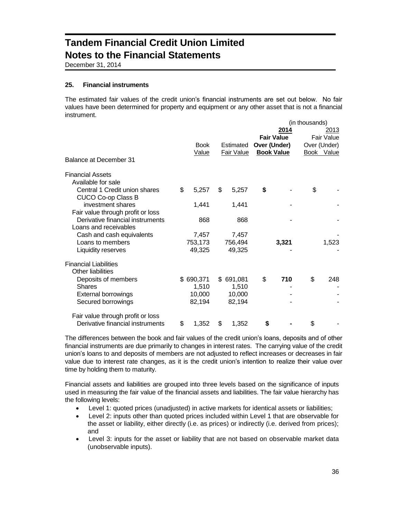December 31, 2014

### **25. Financial instruments**

The estimated fair values of the credit union's financial instruments are set out below. No fair values have been determined for property and equipment or any other asset that is not a financial instrument.  $($ in thousands)

|                                                     |    |              |                   |              |                   | (in thousands) |              |
|-----------------------------------------------------|----|--------------|-------------------|--------------|-------------------|----------------|--------------|
|                                                     |    |              |                   |              | 2014              |                | 2013         |
|                                                     |    |              |                   |              | <b>Fair Value</b> |                | Fair Value   |
|                                                     |    | <b>Book</b>  | Estimated         | Over (Under) |                   |                | Over (Under) |
|                                                     |    | <u>Value</u> | <b>Fair Value</b> |              | <b>Book Value</b> |                | Book Value   |
| Balance at December 31                              |    |              |                   |              |                   |                |              |
| <b>Financial Assets</b>                             |    |              |                   |              |                   |                |              |
| Available for sale                                  |    |              |                   |              |                   |                |              |
| Central 1 Credit union shares<br>CUCO Co-op Class B | \$ | 5,257        | \$<br>5,257       | \$           |                   | \$             |              |
| investment shares                                   |    | 1,441        | 1,441             |              |                   |                |              |
| Fair value through profit or loss                   |    |              |                   |              |                   |                |              |
| Derivative financial instruments                    |    | 868          | 868               |              |                   |                |              |
| Loans and receivables                               |    |              |                   |              |                   |                |              |
| Cash and cash equivalents                           |    | 7,457        | 7,457             |              |                   |                |              |
| Loans to members                                    |    | 753,173      | 756,494           |              | 3,321             |                | 1,523        |
| Liquidity reserves                                  |    | 49,325       | 49,325            |              |                   |                |              |
| <b>Financial Liabilities</b>                        |    |              |                   |              |                   |                |              |
| Other liabilities                                   |    |              |                   |              |                   |                |              |
| Deposits of members                                 |    | \$690,371    | \$691,081         | \$           | 710               | \$             | 248          |
| <b>Shares</b>                                       |    | 1,510        | 1,510             |              |                   |                |              |
| <b>External borrowings</b>                          |    | 10,000       | 10,000            |              |                   |                |              |
| Secured borrowings                                  |    | 82,194       | 82,194            |              |                   |                |              |
| Fair value through profit or loss                   |    |              |                   |              |                   |                |              |
| Derivative financial instruments                    | \$ | 1,352        | \$<br>1,352       | \$           |                   | \$             |              |

The differences between the book and fair values of the credit union's loans, deposits and of other financial instruments are due primarily to changes in interest rates. The carrying value of the credit union's loans to and deposits of members are not adjusted to reflect increases or decreases in fair value due to interest rate changes, as it is the credit union's intention to realize their value over time by holding them to maturity.

Financial assets and liabilities are grouped into three levels based on the significance of inputs used in measuring the fair value of the financial assets and liabilities. The fair value hierarchy has the following levels:

- Level 1: quoted prices (unadjusted) in active markets for identical assets or liabilities;
- Level 2: inputs other than quoted prices included within Level 1 that are observable for the asset or liability, either directly (i.e. as prices) or indirectly (i.e. derived from prices); and
- Level 3: inputs for the asset or liability that are not based on observable market data (unobservable inputs).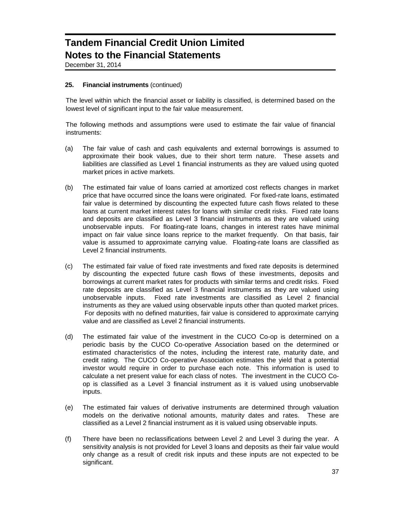December 31, 2014

### **25. Financial instruments** (continued)

The level within which the financial asset or liability is classified, is determined based on the lowest level of significant input to the fair value measurement.

The following methods and assumptions were used to estimate the fair value of financial instruments:

- (a) The fair value of cash and cash equivalents and external borrowings is assumed to approximate their book values, due to their short term nature. These assets and liabilities are classified as Level 1 financial instruments as they are valued using quoted market prices in active markets.
- (b) The estimated fair value of loans carried at amortized cost reflects changes in market price that have occurred since the loans were originated. For fixed-rate loans, estimated fair value is determined by discounting the expected future cash flows related to these loans at current market interest rates for loans with similar credit risks. Fixed rate loans and deposits are classified as Level 3 financial instruments as they are valued using unobservable inputs. For floating-rate loans, changes in interest rates have minimal impact on fair value since loans reprice to the market frequently. On that basis, fair value is assumed to approximate carrying value. Floating-rate loans are classified as Level 2 financial instruments.
- (c) The estimated fair value of fixed rate investments and fixed rate deposits is determined by discounting the expected future cash flows of these investments, deposits and borrowings at current market rates for products with similar terms and credit risks. Fixed rate deposits are classified as Level 3 financial instruments as they are valued using unobservable inputs. Fixed rate investments are classified as Level 2 financial instruments as they are valued using observable inputs other than quoted market prices. For deposits with no defined maturities, fair value is considered to approximate carrying value and are classified as Level 2 financial instruments.
- (d) The estimated fair value of the investment in the CUCO Co-op is determined on a periodic basis by the CUCO Co-operative Association based on the determined or estimated characteristics of the notes, including the interest rate, maturity date, and credit rating. The CUCO Co-operative Association estimates the yield that a potential investor would require in order to purchase each note. This information is used to calculate a net present value for each class of notes. The investment in the CUCO Coop is classified as a Level 3 financial instrument as it is valued using unobservable inputs.
- (e) The estimated fair values of derivative instruments are determined through valuation models on the derivative notional amounts, maturity dates and rates. These are classified as a Level 2 financial instrument as it is valued using observable inputs.
- (f) There have been no reclassifications between Level 2 and Level 3 during the year. A sensitivity analysis is not provided for Level 3 loans and deposits as their fair value would only change as a result of credit risk inputs and these inputs are not expected to be significant.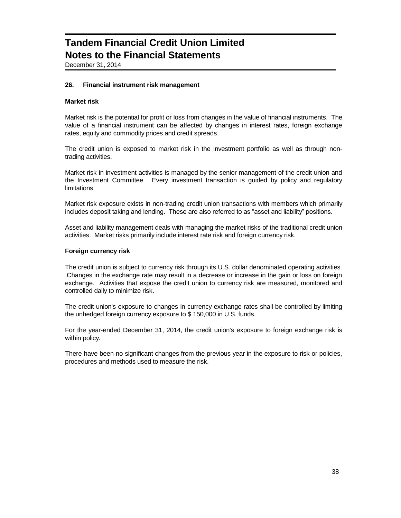December 31, 2014

### **26. Financial instrument risk management**

### **Market risk**

Market risk is the potential for profit or loss from changes in the value of financial instruments. The value of a financial instrument can be affected by changes in interest rates, foreign exchange rates, equity and commodity prices and credit spreads.

The credit union is exposed to market risk in the investment portfolio as well as through nontrading activities.

Market risk in investment activities is managed by the senior management of the credit union and the Investment Committee. Every investment transaction is guided by policy and regulatory limitations.

Market risk exposure exists in non-trading credit union transactions with members which primarily includes deposit taking and lending. These are also referred to as "asset and liability" positions.

Asset and liability management deals with managing the market risks of the traditional credit union activities. Market risks primarily include interest rate risk and foreign currency risk.

#### **Foreign currency risk**

The credit union is subject to currency risk through its U.S. dollar denominated operating activities. Changes in the exchange rate may result in a decrease or increase in the gain or loss on foreign exchange. Activities that expose the credit union to currency risk are measured, monitored and controlled daily to minimize risk.

The credit union's exposure to changes in currency exchange rates shall be controlled by limiting the unhedged foreign currency exposure to \$ 150,000 in U.S. funds.

For the year-ended December 31, 2014, the credit union's exposure to foreign exchange risk is within policy.

There have been no significant changes from the previous year in the exposure to risk or policies, procedures and methods used to measure the risk.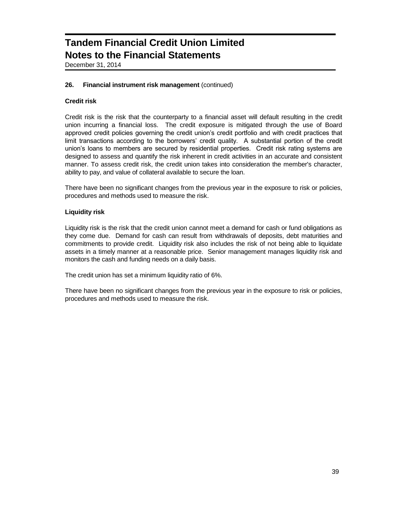December 31, 2014

### **26. Financial instrument risk management** (continued)

## **Credit risk**

Credit risk is the risk that the counterparty to a financial asset will default resulting in the credit union incurring a financial loss. The credit exposure is mitigated through the use of Board approved credit policies governing the credit union's credit portfolio and with credit practices that limit transactions according to the borrowers' credit quality. A substantial portion of the credit union's loans to members are secured by residential properties. Credit risk rating systems are designed to assess and quantify the risk inherent in credit activities in an accurate and consistent manner. To assess credit risk, the credit union takes into consideration the member's character, ability to pay, and value of collateral available to secure the loan.

There have been no significant changes from the previous year in the exposure to risk or policies, procedures and methods used to measure the risk.

### **Liquidity risk**

Liquidity risk is the risk that the credit union cannot meet a demand for cash or fund obligations as they come due. Demand for cash can result from withdrawals of deposits, debt maturities and commitments to provide credit. Liquidity risk also includes the risk of not being able to liquidate assets in a timely manner at a reasonable price. Senior management manages liquidity risk and monitors the cash and funding needs on a daily basis.

The credit union has set a minimum liquidity ratio of 6%.

There have been no significant changes from the previous year in the exposure to risk or policies, procedures and methods used to measure the risk.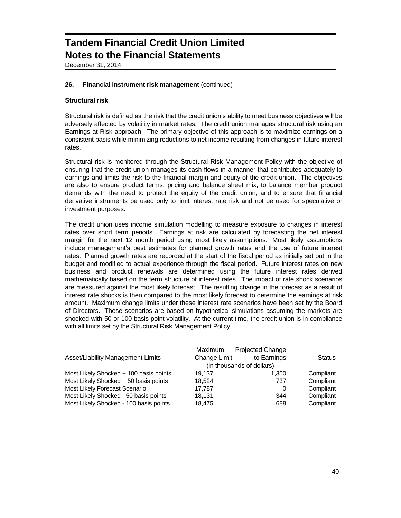December 31, 2014

### **26. Financial instrument risk management** (continued)

### **Structural risk**

Structural risk is defined as the risk that the credit union's ability to meet business objectives will be adversely affected by volatility in market rates. The credit union manages structural risk using an Earnings at Risk approach. The primary objective of this approach is to maximize earnings on a consistent basis while minimizing reductions to net income resulting from changes in future interest rates.

Structural risk is monitored through the Structural Risk Management Policy with the objective of ensuring that the credit union manages its cash flows in a manner that contributes adequately to earnings and limits the risk to the financial margin and equity of the credit union. The objectives are also to ensure product terms, pricing and balance sheet mix, to balance member product demands with the need to protect the equity of the credit union, and to ensure that financial derivative instruments be used only to limit interest rate risk and not be used for speculative or investment purposes.

The credit union uses income simulation modelling to measure exposure to changes in interest rates over short term periods. Earnings at risk are calculated by forecasting the net interest margin for the next 12 month period using most likely assumptions. Most likely assumptions include management's best estimates for planned growth rates and the use of future interest rates. Planned growth rates are recorded at the start of the fiscal period as initially set out in the budget and modified to actual experience through the fiscal period. Future interest rates on new business and product renewals are determined using the future interest rates derived mathematically based on the term structure of interest rates. The impact of rate shock scenarios are measured against the most likely forecast. The resulting change in the forecast as a result of interest rate shocks is then compared to the most likely forecast to determine the earnings at risk amount. Maximum change limits under these interest rate scenarios have been set by the Board of Directors. These scenarios are based on hypothetical simulations assuming the markets are shocked with 50 or 100 basis point volatility. At the current time, the credit union is in compliance with all limits set by the Structural Risk Management Policy.

|                                        | <b>Maximum</b>            | <b>Projected Change</b> |               |
|----------------------------------------|---------------------------|-------------------------|---------------|
| Asset/Liability Management Limits      | Change Limit              | to Earnings             | <b>Status</b> |
|                                        | (in thousands of dollars) |                         |               |
| Most Likely Shocked + 100 basis points | 19.137                    | 1.350                   | Compliant     |
| Most Likely Shocked + 50 basis points  | 18.524                    | 737                     | Compliant     |
| Most Likely Forecast Scenario          | 17.787                    | 0                       | Compliant     |
| Most Likely Shocked - 50 basis points  | 18,131                    | 344                     | Compliant     |
| Most Likely Shocked - 100 basis points | 18.475                    | 688                     | Compliant     |